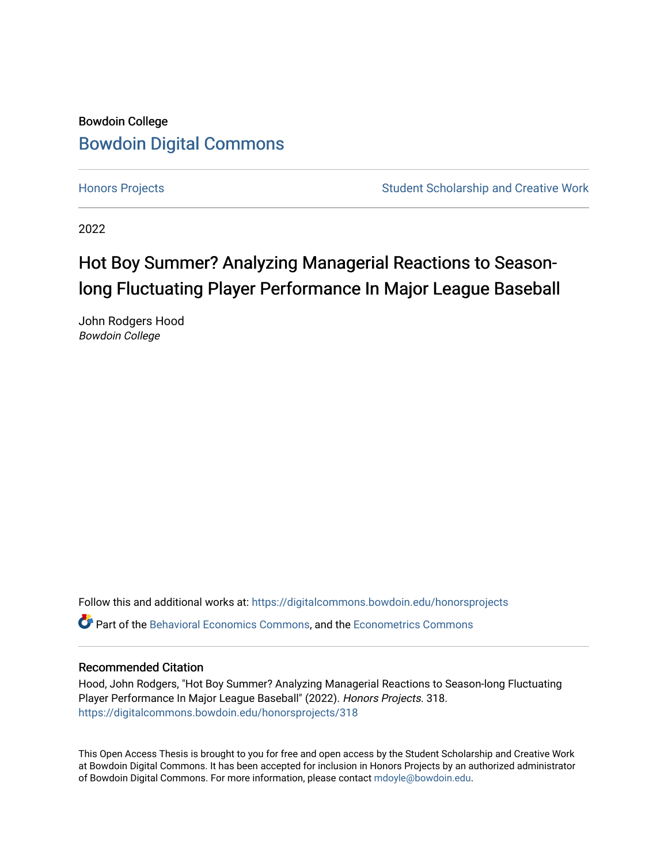# Bowdoin College [Bowdoin Digital Commons](https://digitalcommons.bowdoin.edu/)

[Honors Projects](https://digitalcommons.bowdoin.edu/honorsprojects) **Student Scholarship and Creative Work** Student Scholarship and Creative Work

2022

# Hot Boy Summer? Analyzing Managerial Reactions to Seasonlong Fluctuating Player Performance In Major League Baseball

John Rodgers Hood Bowdoin College

Follow this and additional works at: [https://digitalcommons.bowdoin.edu/honorsprojects](https://digitalcommons.bowdoin.edu/honorsprojects?utm_source=digitalcommons.bowdoin.edu%2Fhonorsprojects%2F318&utm_medium=PDF&utm_campaign=PDFCoverPages)

Part of the [Behavioral Economics Commons](https://network.bepress.com/hgg/discipline/341?utm_source=digitalcommons.bowdoin.edu%2Fhonorsprojects%2F318&utm_medium=PDF&utm_campaign=PDFCoverPages), and the [Econometrics Commons](https://network.bepress.com/hgg/discipline/342?utm_source=digitalcommons.bowdoin.edu%2Fhonorsprojects%2F318&utm_medium=PDF&utm_campaign=PDFCoverPages) 

#### Recommended Citation

Hood, John Rodgers, "Hot Boy Summer? Analyzing Managerial Reactions to Season-long Fluctuating Player Performance In Major League Baseball" (2022). Honors Projects. 318. [https://digitalcommons.bowdoin.edu/honorsprojects/318](https://digitalcommons.bowdoin.edu/honorsprojects/318?utm_source=digitalcommons.bowdoin.edu%2Fhonorsprojects%2F318&utm_medium=PDF&utm_campaign=PDFCoverPages)

This Open Access Thesis is brought to you for free and open access by the Student Scholarship and Creative Work at Bowdoin Digital Commons. It has been accepted for inclusion in Honors Projects by an authorized administrator of Bowdoin Digital Commons. For more information, please contact [mdoyle@bowdoin.edu.](mailto:mdoyle@bowdoin.edu)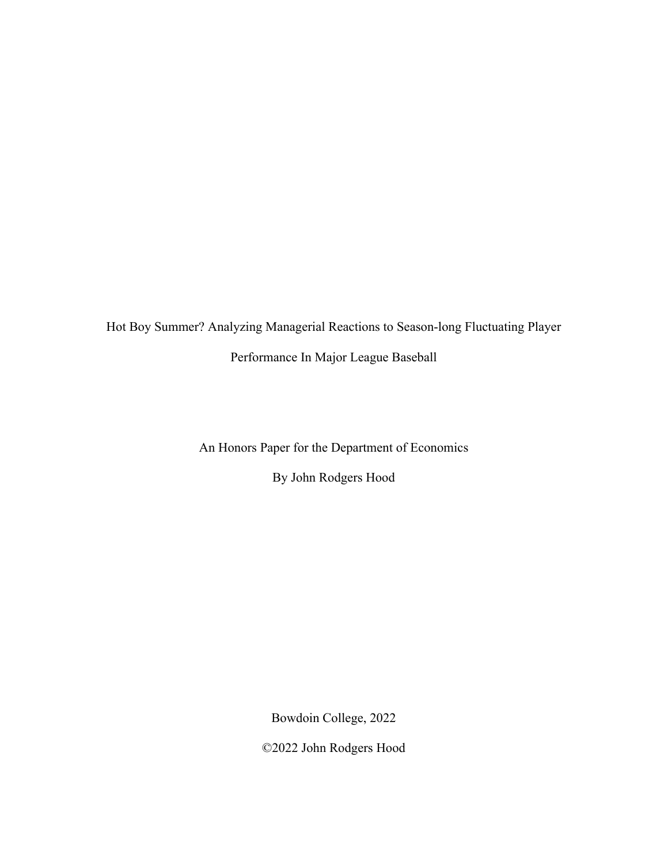Hot Boy Summer? Analyzing Managerial Reactions to Season-long Fluctuating Player Performance In Major League Baseball

An Honors Paper for the Department of Economics

By John Rodgers Hood

Bowdoin College, 2022

©2022 John Rodgers Hood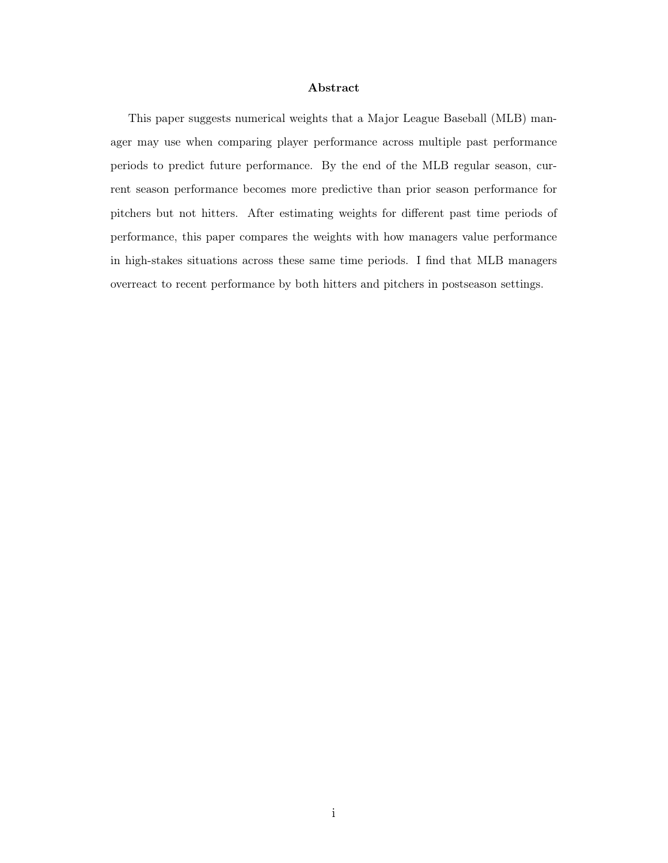#### Abstract

This paper suggests numerical weights that a Major League Baseball (MLB) manager may use when comparing player performance across multiple past performance periods to predict future performance. By the end of the MLB regular season, current season performance becomes more predictive than prior season performance for pitchers but not hitters. After estimating weights for different past time periods of performance, this paper compares the weights with how managers value performance in high-stakes situations across these same time periods. I find that MLB managers overreact to recent performance by both hitters and pitchers in postseason settings.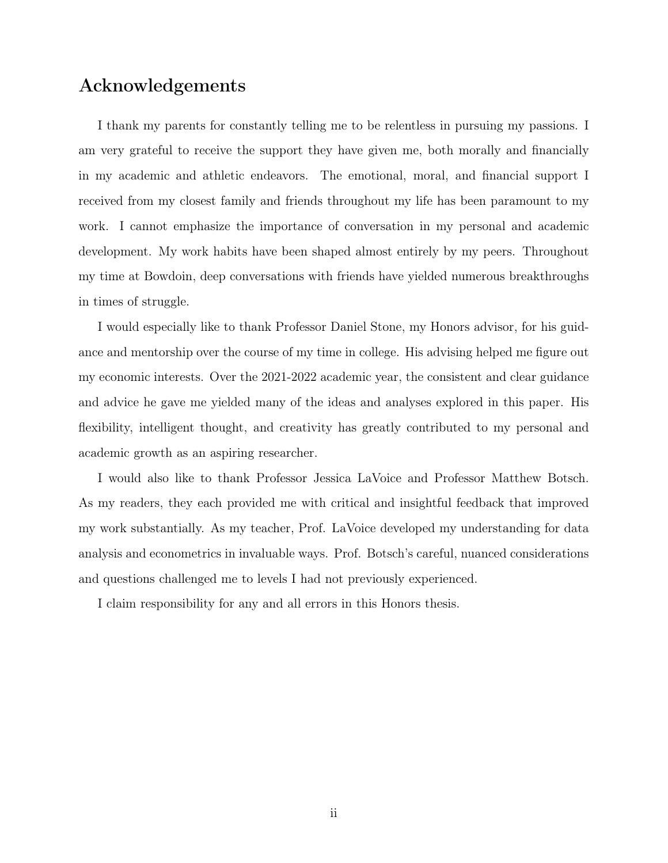### Acknowledgements

I thank my parents for constantly telling me to be relentless in pursuing my passions. I am very grateful to receive the support they have given me, both morally and financially in my academic and athletic endeavors. The emotional, moral, and financial support I received from my closest family and friends throughout my life has been paramount to my work. I cannot emphasize the importance of conversation in my personal and academic development. My work habits have been shaped almost entirely by my peers. Throughout my time at Bowdoin, deep conversations with friends have yielded numerous breakthroughs in times of struggle.

I would especially like to thank Professor Daniel Stone, my Honors advisor, for his guidance and mentorship over the course of my time in college. His advising helped me figure out my economic interests. Over the 2021-2022 academic year, the consistent and clear guidance and advice he gave me yielded many of the ideas and analyses explored in this paper. His flexibility, intelligent thought, and creativity has greatly contributed to my personal and academic growth as an aspiring researcher.

I would also like to thank Professor Jessica LaVoice and Professor Matthew Botsch. As my readers, they each provided me with critical and insightful feedback that improved my work substantially. As my teacher, Prof. LaVoice developed my understanding for data analysis and econometrics in invaluable ways. Prof. Botsch's careful, nuanced considerations and questions challenged me to levels I had not previously experienced.

I claim responsibility for any and all errors in this Honors thesis.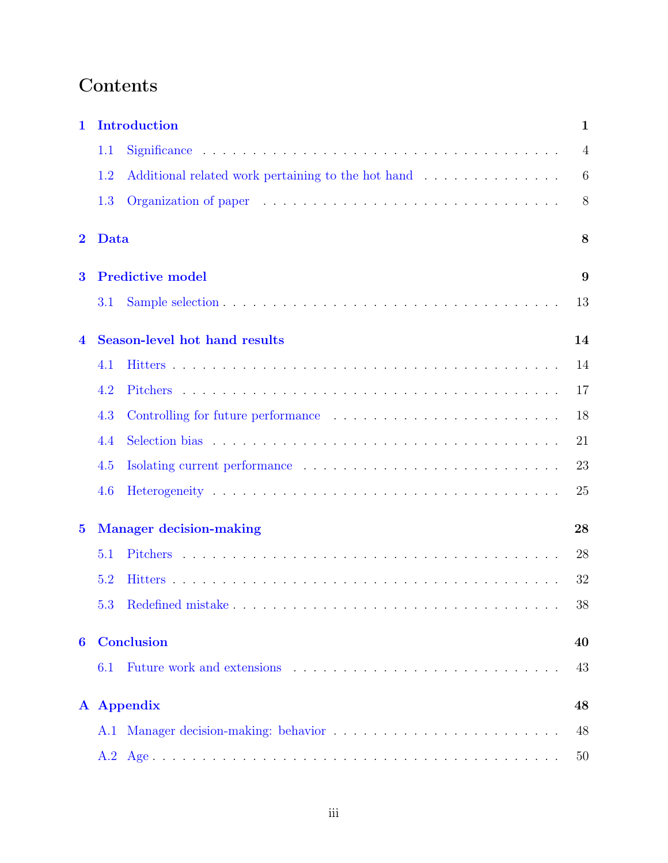# Contents

| 1            |      | <b>Introduction</b>                  | $\mathbf{1}$   |
|--------------|------|--------------------------------------|----------------|
|              | 1.1  |                                      | $\overline{4}$ |
|              | 1.2  |                                      | 6              |
|              | 1.3  |                                      | 8              |
| $\bf{2}$     | Data |                                      | 8              |
| 3            |      | <b>Predictive model</b>              | 9              |
|              | 3.1  |                                      | 13             |
| 4            |      | <b>Season-level hot hand results</b> | 14             |
|              | 4.1  |                                      | 14             |
|              | 4.2  |                                      | 17             |
|              | 4.3  |                                      | 18             |
|              | 4.4  |                                      | 21             |
|              | 4.5  |                                      | 23             |
|              | 4.6  |                                      | 25             |
| $\mathbf{5}$ |      | <b>Manager decision-making</b>       | 28             |
|              | 5.1  |                                      | 28             |
|              | 5.2  |                                      | 32             |
|              |      |                                      | $38\,$         |
| 6            |      | <b>Conclusion</b>                    | 40             |
|              | 6.1  |                                      | 43             |
| ${\bf A}$    |      | <b>Appendix</b>                      | 48             |
|              |      |                                      | 48             |
|              | A.2  |                                      | 50             |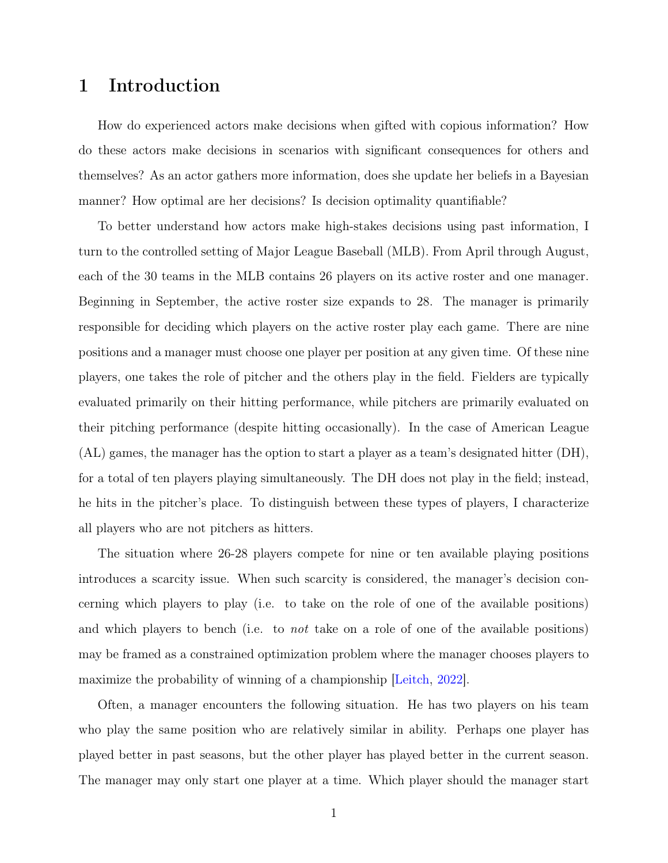### <span id="page-6-0"></span>1 Introduction

How do experienced actors make decisions when gifted with copious information? How do these actors make decisions in scenarios with significant consequences for others and themselves? As an actor gathers more information, does she update her beliefs in a Bayesian manner? How optimal are her decisions? Is decision optimality quantifiable?

To better understand how actors make high-stakes decisions using past information, I turn to the controlled setting of Major League Baseball (MLB). From April through August, each of the 30 teams in the MLB contains 26 players on its active roster and one manager. Beginning in September, the active roster size expands to 28. The manager is primarily responsible for deciding which players on the active roster play each game. There are nine positions and a manager must choose one player per position at any given time. Of these nine players, one takes the role of pitcher and the others play in the field. Fielders are typically evaluated primarily on their hitting performance, while pitchers are primarily evaluated on their pitching performance (despite hitting occasionally). In the case of American League (AL) games, the manager has the option to start a player as a team's designated hitter (DH), for a total of ten players playing simultaneously. The DH does not play in the field; instead, he hits in the pitcher's place. To distinguish between these types of players, I characterize all players who are not pitchers as hitters.

The situation where 26-28 players compete for nine or ten available playing positions introduces a scarcity issue. When such scarcity is considered, the manager's decision concerning which players to play (i.e. to take on the role of one of the available positions) and which players to bench (i.e. to *not* take on a role of one of the available positions) may be framed as a constrained optimization problem where the manager chooses players to maximize the probability of winning of a championship [\[Leitch,](#page-51-0) [2022\]](#page-51-0).

Often, a manager encounters the following situation. He has two players on his team who play the same position who are relatively similar in ability. Perhaps one player has played better in past seasons, but the other player has played better in the current season. The manager may only start one player at a time. Which player should the manager start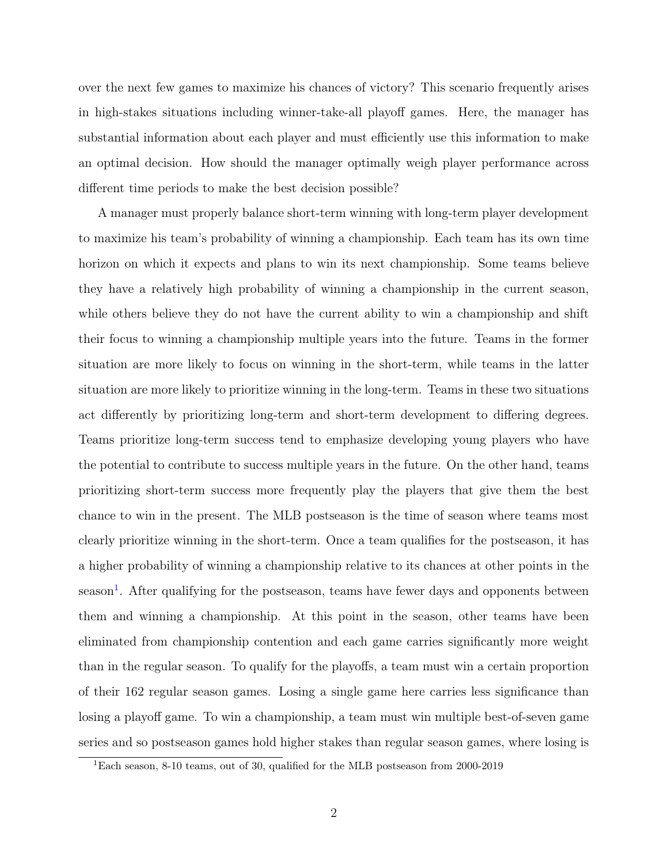over the next few games to maximize his chances of victory? This scenario frequently arises in high-stakes situations including winner-take-all playoff games. Here, the manager has substantial information about each player and must efficiently use this information to make an optimal decision. How should the manager optimally weigh player performance across different time periods to make the best decision possible?

A manager must properly balance short-term winning with long-term player development to maximize his team's probability of winning a championship. Each team has its own time horizon on which it expects and plans to win its next championship. Some teams believe they have a relatively high probability of winning a championship in the current season, while others believe they do not have the current ability to win a championship and shift their focus to winning a championship multiple years into the future. Teams in the former situation are more likely to focus on winning in the short-term, while teams in the latter situation are more likely to prioritize winning in the long-term. Teams in these two situations act differently by prioritizing long-term and short-term development to differing degrees. Teams prioritize long-term success tend to emphasize developing young players who have the potential to contribute to success multiple years in the future. On the other hand, teams prioritizing short-term success more frequently play the players that give them the best chance to win in the present. The MLB postseason is the time of season where teams most clearly prioritize winning in the short-term. Once a team qualifies for the postseason, it has a higher probability of winning a championship relative to its chances at other points in the season<sup>[1](#page-7-0)</sup>. After qualifying for the postseason, teams have fewer days and opponents between them and winning a championship. At this point in the season, other teams have been eliminated from championship contention and each game carries significantly more weight than in the regular season. To qualify for the playoffs, a team must win a certain proportion of their 162 regular season games. Losing a single game here carries less significance than losing a playoff game. To win a championship, a team must win multiple best-of-seven game series and so postseason games hold higher stakes than regular season games, where losing is

<span id="page-7-0"></span> $^{1}\rm{Each}$  season, 8-10 teams, out of 30, qualified for the MLB postseason from 2000-2019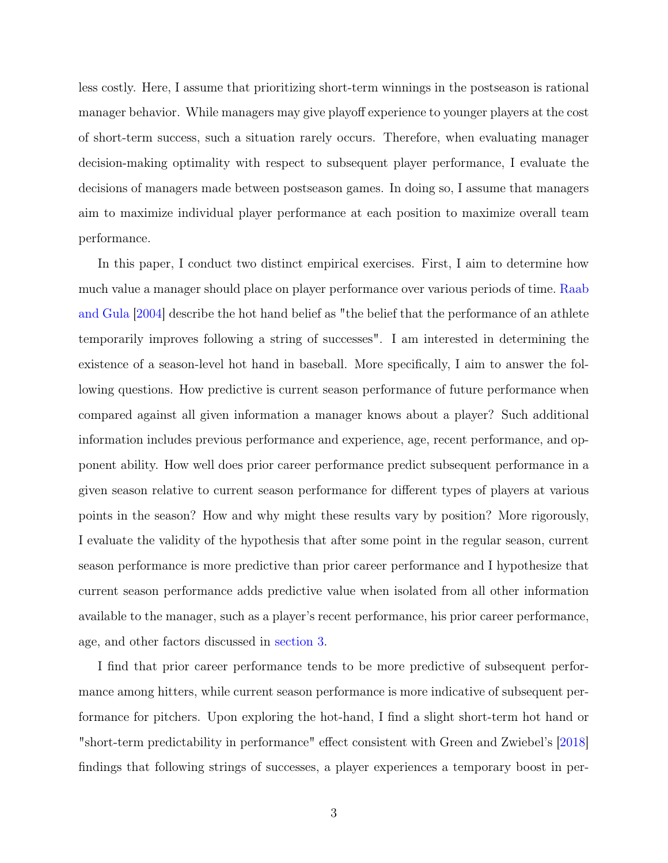less costly. Here, I assume that prioritizing short-term winnings in the postseason is rational manager behavior. While managers may give playoff experience to younger players at the cost of short-term success, such a situation rarely occurs. Therefore, when evaluating manager decision-making optimality with respect to subsequent player performance, I evaluate the decisions of managers made between postseason games. In doing so, I assume that managers aim to maximize individual player performance at each position to maximize overall team performance.

In this paper, I conduct two distinct empirical exercises. First, I aim to determine how much value a manager should place on player performance over various periods of time. [Raab](#page-51-1) [and Gula](#page-51-1) [\[2004\]](#page-51-1) describe the hot hand belief as "the belief that the performance of an athlete temporarily improves following a string of successes". I am interested in determining the existence of a season-level hot hand in baseball. More specifically, I aim to answer the following questions. How predictive is current season performance of future performance when compared against all given information a manager knows about a player? Such additional information includes previous performance and experience, age, recent performance, and opponent ability. How well does prior career performance predict subsequent performance in a given season relative to current season performance for different types of players at various points in the season? How and why might these results vary by position? More rigorously, I evaluate the validity of the hypothesis that after some point in the regular season, current season performance is more predictive than prior career performance and I hypothesize that current season performance adds predictive value when isolated from all other information available to the manager, such as a player's recent performance, his prior career performance, age, and other factors discussed in [section 3.](#page-14-0)

I find that prior career performance tends to be more predictive of subsequent performance among hitters, while current season performance is more indicative of subsequent performance for pitchers. Upon exploring the hot-hand, I find a slight short-term hot hand or "short-term predictability in performance" effect consistent with Green and Zwiebel's [\[2018\]](#page-50-0) findings that following strings of successes, a player experiences a temporary boost in per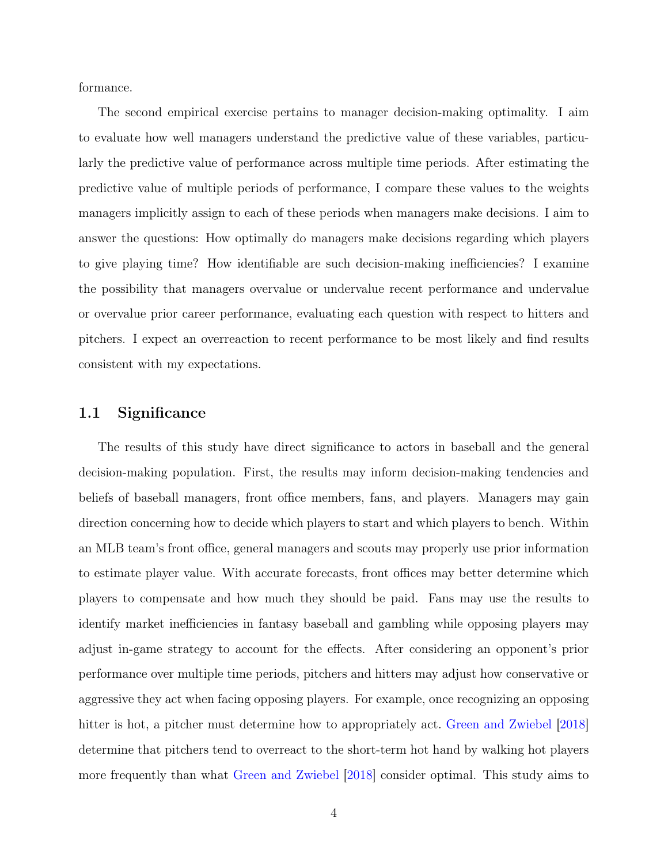formance.

The second empirical exercise pertains to manager decision-making optimality. I aim to evaluate how well managers understand the predictive value of these variables, particularly the predictive value of performance across multiple time periods. After estimating the predictive value of multiple periods of performance, I compare these values to the weights managers implicitly assign to each of these periods when managers make decisions. I aim to answer the questions: How optimally do managers make decisions regarding which players to give playing time? How identifiable are such decision-making inefficiencies? I examine the possibility that managers overvalue or undervalue recent performance and undervalue or overvalue prior career performance, evaluating each question with respect to hitters and pitchers. I expect an overreaction to recent performance to be most likely and find results consistent with my expectations.

#### <span id="page-9-0"></span>1.1 Significance

The results of this study have direct significance to actors in baseball and the general decision-making population. First, the results may inform decision-making tendencies and beliefs of baseball managers, front office members, fans, and players. Managers may gain direction concerning how to decide which players to start and which players to bench. Within an MLB team's front office, general managers and scouts may properly use prior information to estimate player value. With accurate forecasts, front offices may better determine which players to compensate and how much they should be paid. Fans may use the results to identify market inefficiencies in fantasy baseball and gambling while opposing players may adjust in-game strategy to account for the effects. After considering an opponent's prior performance over multiple time periods, pitchers and hitters may adjust how conservative or aggressive they act when facing opposing players. For example, once recognizing an opposing hitter is hot, a pitcher must determine how to appropriately act. [Green and Zwiebel](#page-50-0) [\[2018\]](#page-50-0) determine that pitchers tend to overreact to the short-term hot hand by walking hot players more frequently than what [Green and Zwiebel](#page-50-0) [\[2018\]](#page-50-0) consider optimal. This study aims to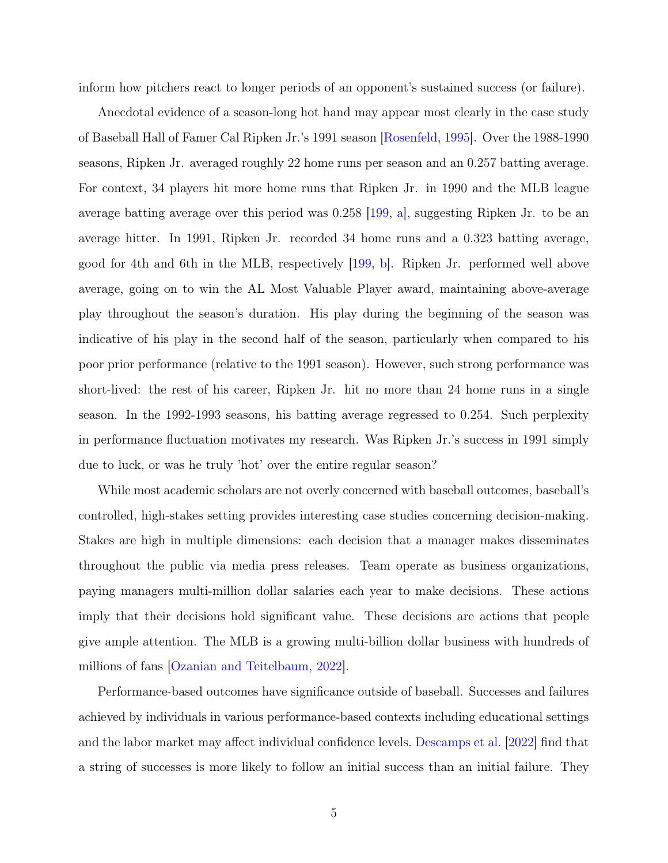inform how pitchers react to longer periods of an opponent's sustained success (or failure).

Anecdotal evidence of a season-long hot hand may appear most clearly in the case study of Baseball Hall of Famer Cal Ripken Jr.'s 1991 season [\[Rosenfeld,](#page-51-2) [1995\]](#page-51-2). Over the 1988-1990 seasons, Ripken Jr. averaged roughly 22 home runs per season and an 0.257 batting average. For context, 34 players hit more home runs that Ripken Jr. in 1990 and the MLB league average batting average over this period was 0.258 [\[199,](#page-50-1) [a\]](#page-50-1), suggesting Ripken Jr. to be an average hitter. In 1991, Ripken Jr. recorded 34 home runs and a 0.323 batting average, good for 4th and 6th in the MLB, respectively [\[199,](#page-50-2) [b\]](#page-50-2). Ripken Jr. performed well above average, going on to win the AL Most Valuable Player award, maintaining above-average play throughout the season's duration. His play during the beginning of the season was indicative of his play in the second half of the season, particularly when compared to his poor prior performance (relative to the 1991 season). However, such strong performance was short-lived: the rest of his career, Ripken Jr. hit no more than 24 home runs in a single season. In the 1992-1993 seasons, his batting average regressed to 0.254. Such perplexity in performance fluctuation motivates my research. Was Ripken Jr.'s success in 1991 simply due to luck, or was he truly 'hot' over the entire regular season?

While most academic scholars are not overly concerned with baseball outcomes, baseball's controlled, high-stakes setting provides interesting case studies concerning decision-making. Stakes are high in multiple dimensions: each decision that a manager makes disseminates throughout the public via media press releases. Team operate as business organizations, paying managers multi-million dollar salaries each year to make decisions. These actions imply that their decisions hold significant value. These decisions are actions that people give ample attention. The MLB is a growing multi-billion dollar business with hundreds of millions of fans [\[Ozanian and Teitelbaum,](#page-51-3) [2022\]](#page-51-3).

Performance-based outcomes have significance outside of baseball. Successes and failures achieved by individuals in various performance-based contexts including educational settings and the labor market may affect individual confidence levels. [Descamps et al.](#page-50-3) [\[2022\]](#page-50-3) find that a string of successes is more likely to follow an initial success than an initial failure. They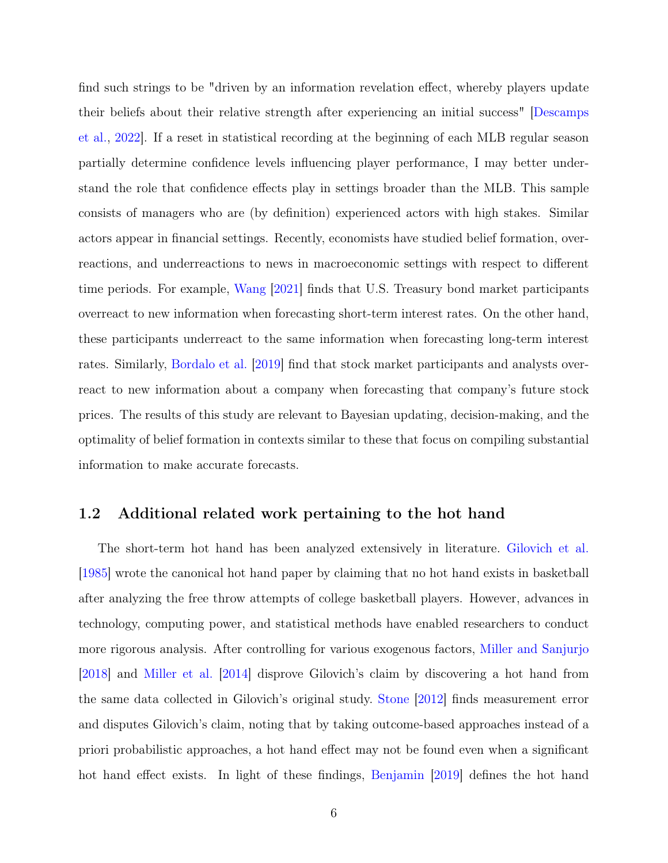find such strings to be "driven by an information revelation effect, whereby players update their beliefs about their relative strength after experiencing an initial success" [\[Descamps](#page-50-3) [et al.,](#page-50-3) [2022\]](#page-50-3). If a reset in statistical recording at the beginning of each MLB regular season partially determine confidence levels influencing player performance, I may better understand the role that confidence effects play in settings broader than the MLB. This sample consists of managers who are (by definition) experienced actors with high stakes. Similar actors appear in financial settings. Recently, economists have studied belief formation, overreactions, and underreactions to news in macroeconomic settings with respect to different time periods. For example, [Wang](#page-52-0) [\[2021\]](#page-52-0) finds that U.S. Treasury bond market participants overreact to new information when forecasting short-term interest rates. On the other hand, these participants underreact to the same information when forecasting long-term interest rates. Similarly, [Bordalo et al.](#page-50-4) [\[2019\]](#page-50-4) find that stock market participants and analysts overreact to new information about a company when forecasting that company's future stock prices. The results of this study are relevant to Bayesian updating, decision-making, and the optimality of belief formation in contexts similar to these that focus on compiling substantial information to make accurate forecasts.

#### <span id="page-11-0"></span>1.2 Additional related work pertaining to the hot hand

The short-term hot hand has been analyzed extensively in literature. [Gilovich et al.](#page-50-5) [\[1985\]](#page-50-5) wrote the canonical hot hand paper by claiming that no hot hand exists in basketball after analyzing the free throw attempts of college basketball players. However, advances in technology, computing power, and statistical methods have enabled researchers to conduct more rigorous analysis. After controlling for various exogenous factors, [Miller and Sanjurjo](#page-51-4) [\[2018\]](#page-51-4) and [Miller et al.](#page-51-5) [\[2014\]](#page-51-5) disprove Gilovich's claim by discovering a hot hand from the same data collected in Gilovich's original study. [Stone](#page-52-1) [\[2012\]](#page-52-1) finds measurement error and disputes Gilovich's claim, noting that by taking outcome-based approaches instead of a priori probabilistic approaches, a hot hand effect may not be found even when a significant hot hand effect exists. In light of these findings, [Benjamin](#page-50-6) [\[2019\]](#page-50-6) defines the hot hand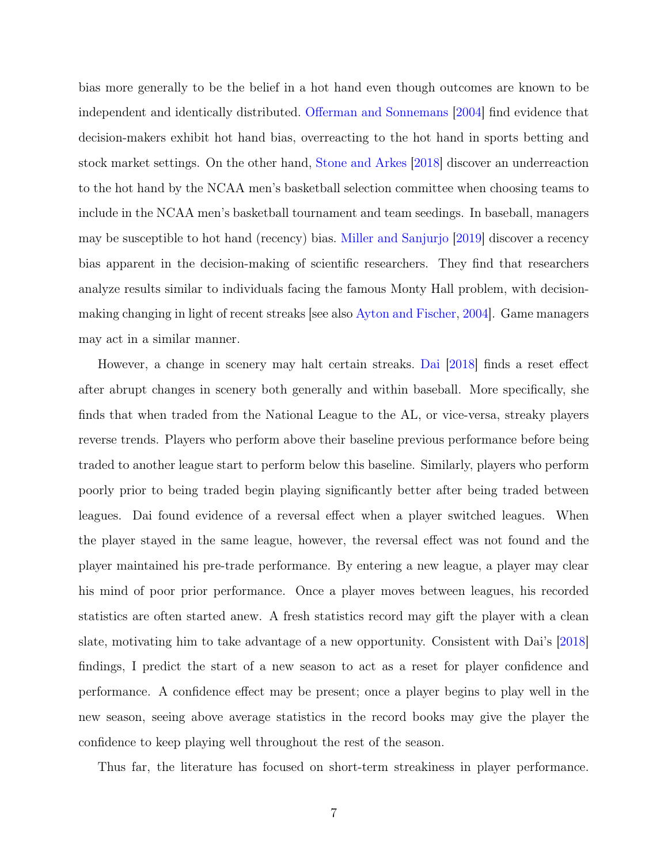bias more generally to be the belief in a hot hand even though outcomes are known to be independent and identically distributed. [Offerman and Sonnemans](#page-51-6) [\[2004\]](#page-51-6) find evidence that decision-makers exhibit hot hand bias, overreacting to the hot hand in sports betting and stock market settings. On the other hand, [Stone and Arkes](#page-52-2) [\[2018\]](#page-52-2) discover an underreaction to the hot hand by the NCAA men's basketball selection committee when choosing teams to include in the NCAA men's basketball tournament and team seedings. In baseball, managers may be susceptible to hot hand (recency) bias. [Miller and Sanjurjo](#page-51-7) [\[2019\]](#page-51-7) discover a recency bias apparent in the decision-making of scientific researchers. They find that researchers analyze results similar to individuals facing the famous Monty Hall problem, with decisionmaking changing in light of recent streaks [see also [Ayton and Fischer,](#page-50-7) [2004\]](#page-50-7). Game managers may act in a similar manner.

However, a change in scenery may halt certain streaks. [Dai](#page-50-8) [\[2018\]](#page-50-8) finds a reset effect after abrupt changes in scenery both generally and within baseball. More specifically, she finds that when traded from the National League to the AL, or vice-versa, streaky players reverse trends. Players who perform above their baseline previous performance before being traded to another league start to perform below this baseline. Similarly, players who perform poorly prior to being traded begin playing significantly better after being traded between leagues. Dai found evidence of a reversal effect when a player switched leagues. When the player stayed in the same league, however, the reversal effect was not found and the player maintained his pre-trade performance. By entering a new league, a player may clear his mind of poor prior performance. Once a player moves between leagues, his recorded statistics are often started anew. A fresh statistics record may gift the player with a clean slate, motivating him to take advantage of a new opportunity. Consistent with Dai's [\[2018\]](#page-50-8) findings, I predict the start of a new season to act as a reset for player confidence and performance. A confidence effect may be present; once a player begins to play well in the new season, seeing above average statistics in the record books may give the player the confidence to keep playing well throughout the rest of the season.

Thus far, the literature has focused on short-term streakiness in player performance.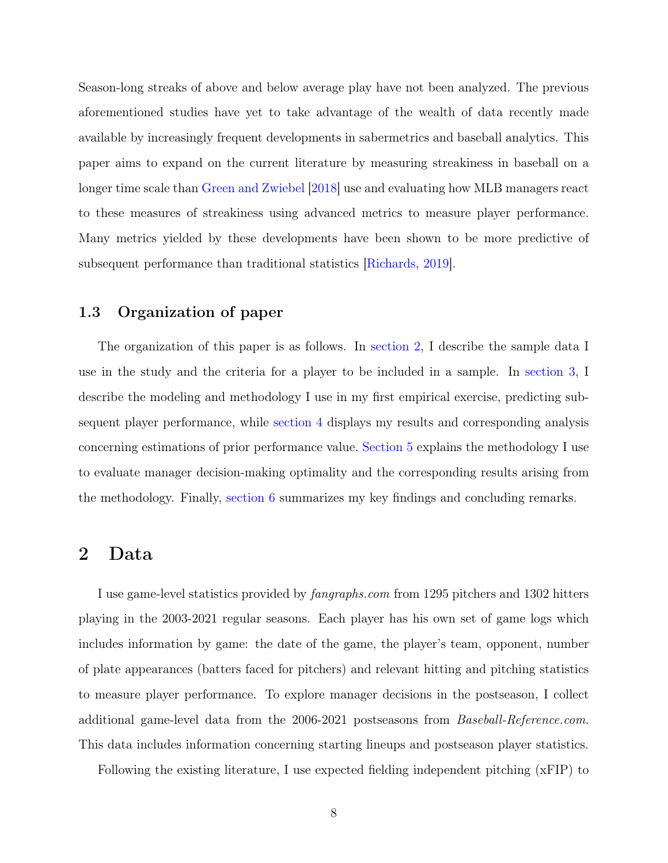Season-long streaks of above and below average play have not been analyzed. The previous aforementioned studies have yet to take advantage of the wealth of data recently made available by increasingly frequent developments in sabermetrics and baseball analytics. This paper aims to expand on the current literature by measuring streakiness in baseball on a longer time scale than [Green and Zwiebel](#page-50-0) [\[2018\]](#page-50-0) use and evaluating how MLB managers react to these measures of streakiness using advanced metrics to measure player performance. Many metrics yielded by these developments have been shown to be more predictive of subsequent performance than traditional statistics [\[Richards,](#page-51-8) [2019\]](#page-51-8).

### <span id="page-13-0"></span>1.3 Organization of paper

The organization of this paper is as follows. In [section 2,](#page-13-1) I describe the sample data I use in the study and the criteria for a player to be included in a sample. In [section 3,](#page-14-0) I describe the modeling and methodology I use in my first empirical exercise, predicting subsequent player performance, while [section 4](#page-19-0) displays my results and corresponding analysis concerning estimations of prior performance value. [Section 5](#page-33-0) explains the methodology I use to evaluate manager decision-making optimality and the corresponding results arising from the methodology. Finally, [section 6](#page-45-0) summarizes my key findings and concluding remarks.

### <span id="page-13-1"></span>2 Data

I use game-level statistics provided by fangraphs.com from 1295 pitchers and 1302 hitters playing in the 2003-2021 regular seasons. Each player has his own set of game logs which includes information by game: the date of the game, the player's team, opponent, number of plate appearances (batters faced for pitchers) and relevant hitting and pitching statistics to measure player performance. To explore manager decisions in the postseason, I collect additional game-level data from the 2006-2021 postseasons from Baseball-Reference.com. This data includes information concerning starting lineups and postseason player statistics.

Following the existing literature, I use expected fielding independent pitching (xFIP) to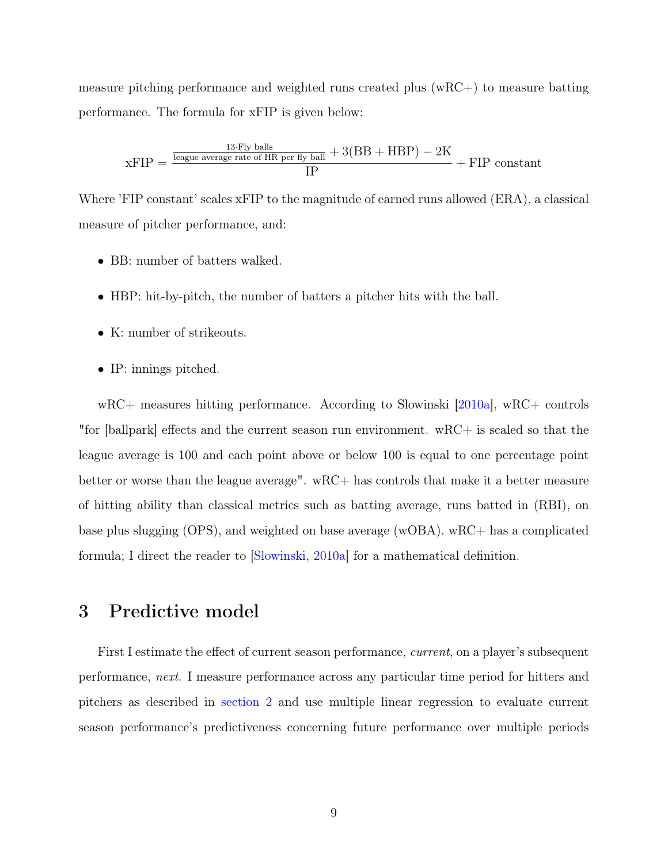measure pitching performance and weighted runs created plus  $(wRC+)$  to measure batting performance. The formula for xFIP is given below:

$$
xFIP = \frac{\frac{13 \cdot Fly \text{ balls}}{\text{league average rate of HR per fly ball} + 3(BB + HBP) - 2K}{IP} + FIP \text{ constant}
$$

Where 'FIP constant' scales xFIP to the magnitude of earned runs allowed (ERA), a classical measure of pitcher performance, and:

- BB: number of batters walked.
- HBP: hit-by-pitch, the number of batters a pitcher hits with the ball.
- K: number of strikeouts.
- IP: innings pitched.

wRC+ measures hitting performance. According to Slowinski [\[2010a\]](#page-51-9), wRC+ controls "for [ballpark] effects and the current season run environment. wRC+ is scaled so that the league average is 100 and each point above or below 100 is equal to one percentage point better or worse than the league average".  $wRC+$  has controls that make it a better measure of hitting ability than classical metrics such as batting average, runs batted in (RBI), on base plus slugging (OPS), and weighted on base average (wOBA). wRC+ has a complicated formula; I direct the reader to [\[Slowinski,](#page-51-9) [2010a\]](#page-51-9) for a mathematical definition.

### <span id="page-14-0"></span>3 Predictive model

First I estimate the effect of current season performance, *current*, on a player's subsequent performance, next. I measure performance across any particular time period for hitters and pitchers as described in [section 2](#page-13-1) and use multiple linear regression to evaluate current season performance's predictiveness concerning future performance over multiple periods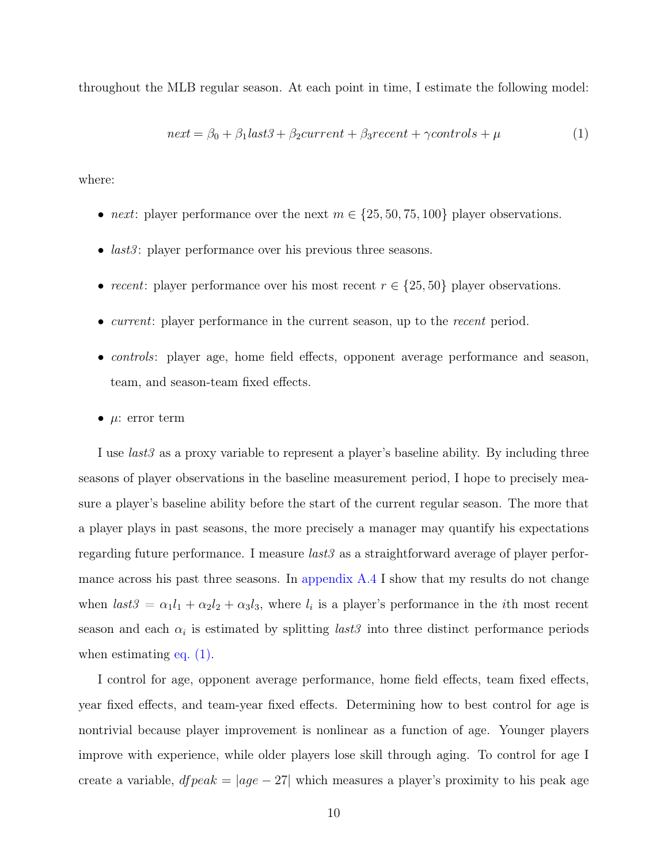throughout the MLB regular season. At each point in time, I estimate the following model:

<span id="page-15-0"></span>
$$
next = \beta_0 + \beta_1 last3 + \beta_2 current + \beta_3 recent + \gamma controls + \mu
$$
\n(1)

where:

- next: player performance over the next  $m \in \{25, 50, 75, 100\}$  player observations.
- *last3*: player performance over his previous three seasons.
- recent: player performance over his most recent  $r \in \{25, 50\}$  player observations.
- *current*: player performance in the current season, up to the *recent* period.
- controls: player age, home field effects, opponent average performance and season, team, and season-team fixed effects.
- $\mu$ : error term

I use *last3* as a proxy variable to represent a player's baseline ability. By including three seasons of player observations in the baseline measurement period, I hope to precisely measure a player's baseline ability before the start of the current regular season. The more that a player plays in past seasons, the more precisely a manager may quantify his expectations regarding future performance. I measure *last3* as a straightforward average of player performance across his past three seasons. In [appendix A.4](#page-59-0) I show that my results do not change when  $last3 = \alpha_1 l_1 + \alpha_2 l_2 + \alpha_3 l_3$ , where  $l_i$  is a player's performance in the *i*th most recent season and each  $\alpha_i$  is estimated by splitting *last3* into three distinct performance periods when estimating eq.  $(1)$ .

I control for age, opponent average performance, home field effects, team fixed effects, year fixed effects, and team-year fixed effects. Determining how to best control for age is nontrivial because player improvement is nonlinear as a function of age. Younger players improve with experience, while older players lose skill through aging. To control for age I create a variable,  $d\mathit{fpeak} = |age - 27|$  which measures a player's proximity to his peak age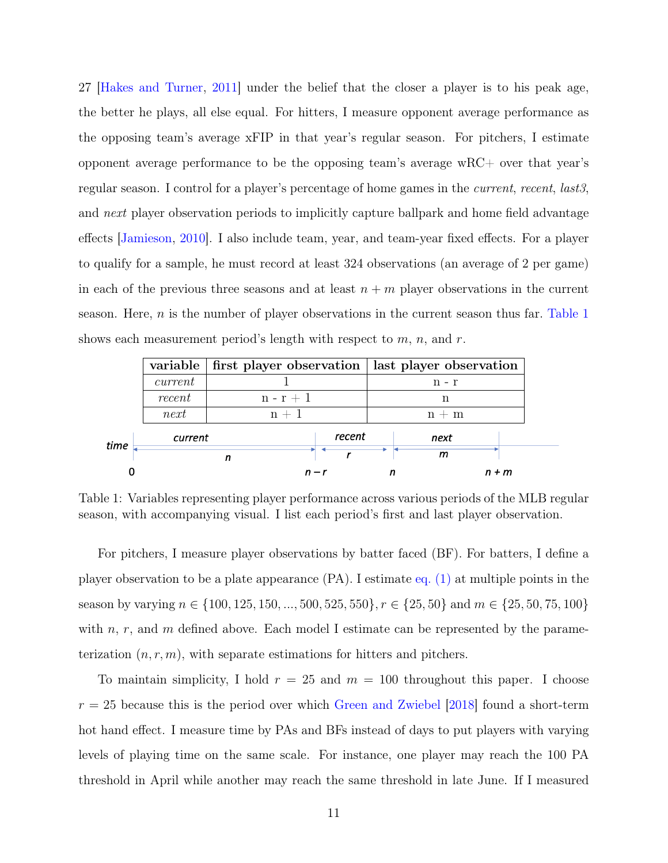27 [\[Hakes and Turner,](#page-50-9) [2011\]](#page-50-9) under the belief that the closer a player is to his peak age, the better he plays, all else equal. For hitters, I measure opponent average performance as the opposing team's average xFIP in that year's regular season. For pitchers, I estimate opponent average performance to be the opposing team's average wRC+ over that year's regular season. I control for a player's percentage of home games in the *current*, recent, lasts, and next player observation periods to implicitly capture ballpark and home field advantage effects [\[Jamieson,](#page-51-10) [2010\]](#page-51-10). I also include team, year, and team-year fixed effects. For a player to qualify for a sample, he must record at least 324 observations (an average of 2 per game) in each of the previous three seasons and at least  $n + m$  player observations in the current season. Here,  $n$  is the number of player observations in the current season thus far. [Table 1](#page-16-0) shows each measurement period's length with respect to  $m$ ,  $n$ , and  $r$ .

<span id="page-16-0"></span>

|      |         |         | variable   first player observation   last player observation |  |         |         |
|------|---------|---------|---------------------------------------------------------------|--|---------|---------|
|      | current |         |                                                               |  | $n - r$ |         |
|      | recent  | $n-r+1$ |                                                               |  | n       |         |
|      | next    | $n + 1$ |                                                               |  | $n + m$ |         |
| time | current |         | recent                                                        |  | next    |         |
|      |         |         |                                                               |  | m       |         |
|      |         |         | $n - r$                                                       |  |         | $n + m$ |

Table 1: Variables representing player performance across various periods of the MLB regular season, with accompanying visual. I list each period's first and last player observation.

For pitchers, I measure player observations by batter faced (BF). For batters, I define a player observation to be a plate appearance (PA). I estimate [eq. \(1\)](#page-15-0) at multiple points in the season by varying  $n \in \{100, 125, 150, ..., 500, 525, 550\}, r \in \{25, 50\}$  and  $m \in \{25, 50, 75, 100\}$ with n, r, and m defined above. Each model I estimate can be represented by the parameterization  $(n, r, m)$ , with separate estimations for hitters and pitchers.

To maintain simplicity, I hold  $r = 25$  and  $m = 100$  throughout this paper. I choose  $r = 25$  because this is the period over which [Green and Zwiebel](#page-50-0) [\[2018\]](#page-50-0) found a short-term hot hand effect. I measure time by PAs and BFs instead of days to put players with varying levels of playing time on the same scale. For instance, one player may reach the 100 PA threshold in April while another may reach the same threshold in late June. If I measured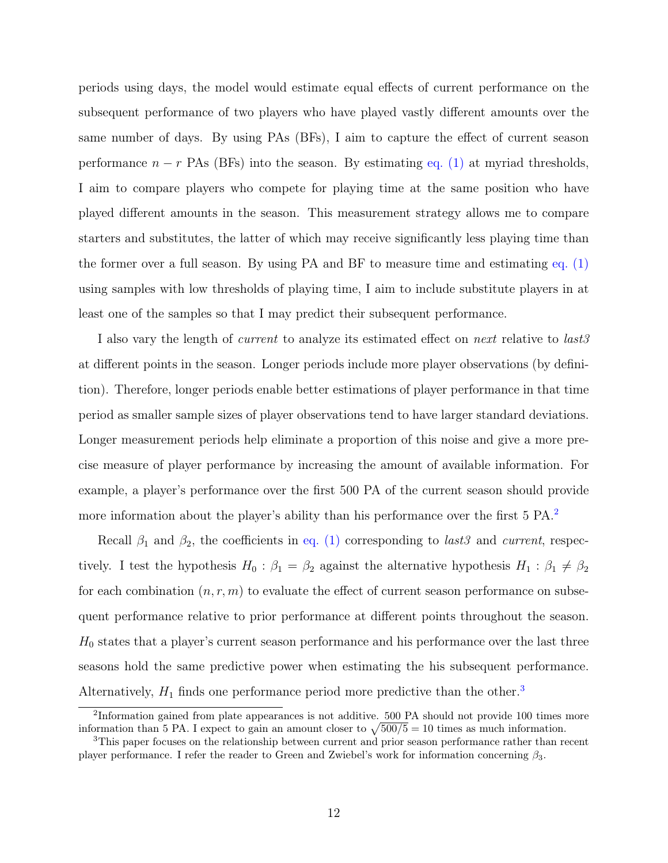periods using days, the model would estimate equal effects of current performance on the subsequent performance of two players who have played vastly different amounts over the same number of days. By using PAs (BFs), I aim to capture the effect of current season performance  $n - r$  PAs (BFs) into the season. By estimating [eq. \(1\)](#page-15-0) at myriad thresholds, I aim to compare players who compete for playing time at the same position who have played different amounts in the season. This measurement strategy allows me to compare starters and substitutes, the latter of which may receive significantly less playing time than the former over a full season. By using PA and BF to measure time and estimating [eq. \(1\)](#page-15-0) using samples with low thresholds of playing time, I aim to include substitute players in at least one of the samples so that I may predict their subsequent performance.

I also vary the length of *current* to analyze its estimated effect on *next* relative to *last3* at different points in the season. Longer periods include more player observations (by definition). Therefore, longer periods enable better estimations of player performance in that time period as smaller sample sizes of player observations tend to have larger standard deviations. Longer measurement periods help eliminate a proportion of this noise and give a more precise measure of player performance by increasing the amount of available information. For example, a player's performance over the first 500 PA of the current season should provide more information about the player's ability than his performance over the first 5 PA.[2](#page-17-0)

Recall  $\beta_1$  and  $\beta_2$ , the coefficients in [eq. \(1\)](#page-15-0) corresponding to last3 and current, respectively. I test the hypothesis  $H_0$ :  $\beta_1 = \beta_2$  against the alternative hypothesis  $H_1$ :  $\beta_1 \neq \beta_2$ for each combination  $(n, r, m)$  to evaluate the effect of current season performance on subsequent performance relative to prior performance at different points throughout the season.  $H_0$  states that a player's current season performance and his performance over the last three seasons hold the same predictive power when estimating the his subsequent performance. Alternatively,  $H_1$  finds one performance period more predictive than the other.<sup>[3](#page-17-1)</sup>

<span id="page-17-0"></span><sup>&</sup>lt;sup>2</sup>Information gained from plate appearances is not additive. 500 PA should not provide 100 times more information than 5 PA. I expect to gain an amount closer to  $\sqrt{500/5} = 10$  times as much information.

<span id="page-17-1"></span><sup>3</sup>This paper focuses on the relationship between current and prior season performance rather than recent player performance. I refer the reader to Green and Zwiebel's work for information concerning  $\beta_3$ .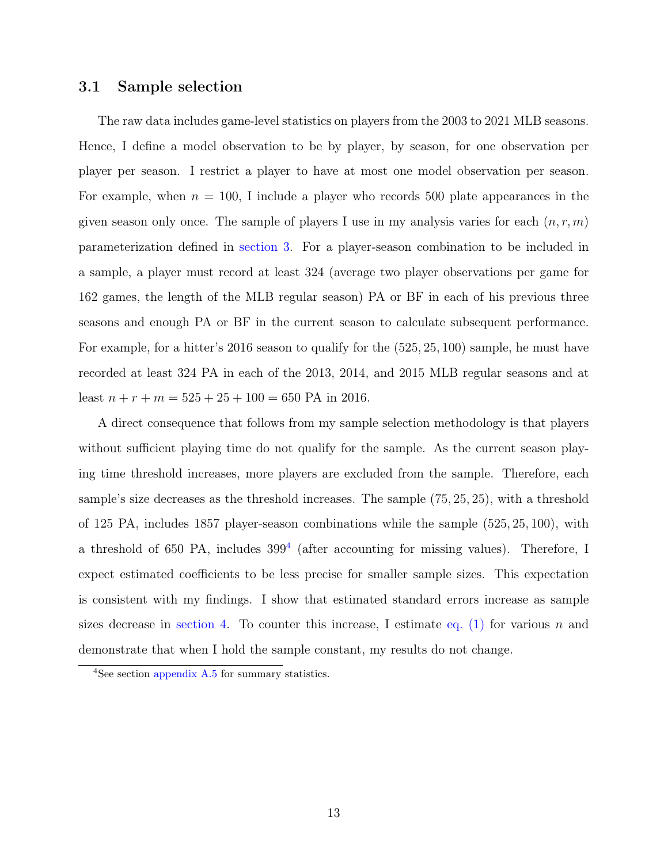#### <span id="page-18-0"></span>3.1 Sample selection

The raw data includes game-level statistics on players from the 2003 to 2021 MLB seasons. Hence, I define a model observation to be by player, by season, for one observation per player per season. I restrict a player to have at most one model observation per season. For example, when  $n = 100$ , I include a player who records 500 plate appearances in the given season only once. The sample of players I use in my analysis varies for each  $(n, r, m)$ parameterization defined in [section 3.](#page-14-0) For a player-season combination to be included in a sample, a player must record at least 324 (average two player observations per game for 162 games, the length of the MLB regular season) PA or BF in each of his previous three seasons and enough PA or BF in the current season to calculate subsequent performance. For example, for a hitter's 2016 season to qualify for the (525, 25, 100) sample, he must have recorded at least 324 PA in each of the 2013, 2014, and 2015 MLB regular seasons and at least  $n + r + m = 525 + 25 + 100 = 650$  PA in 2016.

A direct consequence that follows from my sample selection methodology is that players without sufficient playing time do not qualify for the sample. As the current season playing time threshold increases, more players are excluded from the sample. Therefore, each sample's size decreases as the threshold increases. The sample (75, 25, 25), with a threshold of 125 PA, includes 1857 player-season combinations while the sample (525, 25, 100), with a threshold of 650 PA, includes  $399<sup>4</sup>$  $399<sup>4</sup>$  $399<sup>4</sup>$  (after accounting for missing values). Therefore, I expect estimated coefficients to be less precise for smaller sample sizes. This expectation is consistent with my findings. I show that estimated standard errors increase as sample sizes decrease in [section 4.](#page-19-0) To counter this increase, I estimate [eq. \(1\)](#page-15-0) for various n and demonstrate that when I hold the sample constant, my results do not change.

<span id="page-18-1"></span><sup>&</sup>lt;sup>4</sup>See section [appendix A.5](#page-62-0) for summary statistics.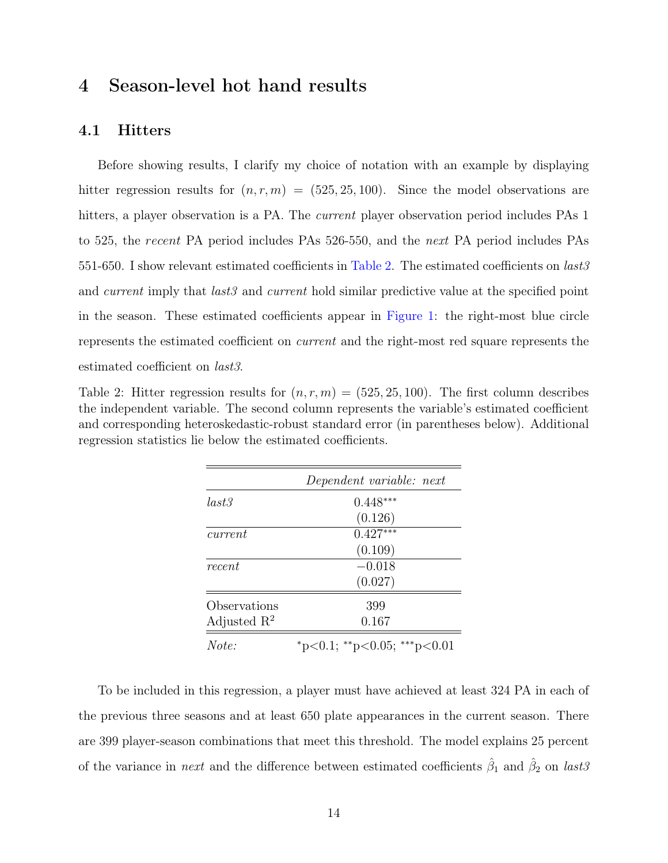## <span id="page-19-0"></span>4 Season-level hot hand results

#### <span id="page-19-1"></span>4.1 Hitters

Before showing results, I clarify my choice of notation with an example by displaying hitter regression results for  $(n, r, m) = (525, 25, 100)$ . Since the model observations are hitters, a player observation is a PA. The *current* player observation period includes PAs 1 to 525, the recent PA period includes PAs 526-550, and the next PA period includes PAs 551-650. I show relevant estimated coefficients in [Table 2.](#page-19-2) The estimated coefficients on  $last3$ and *current* imply that *last3* and *current* hold similar predictive value at the specified point in the season. These estimated coefficients appear in [Figure 1:](#page-20-0) the right-most blue circle represents the estimated coefficient on current and the right-most red square represents the estimated coefficient on last3.

<span id="page-19-2"></span>Table 2: Hitter regression results for  $(n, r, m) = (525, 25, 100)$ . The first column describes the independent variable. The second column represents the variable's estimated coefficient and corresponding heteroskedastic-robust standard error (in parentheses below). Additional regression statistics lie below the estimated coefficients.

|                         | Dependent variable: next    |
|-------------------------|-----------------------------|
| last3                   | $0.448***$                  |
|                         | (0.126)                     |
| current                 | $0.427***$                  |
|                         | (0.109)                     |
| recent                  | $-0.018$                    |
|                         | (0.027)                     |
| Observations            | 399                         |
| Adjusted $\mathbb{R}^2$ | 0.167                       |
| Note:                   | *p<0.1; **p<0.05; ***p<0.01 |

To be included in this regression, a player must have achieved at least 324 PA in each of the previous three seasons and at least 650 plate appearances in the current season. There are 399 player-season combinations that meet this threshold. The model explains 25 percent of the variance in *next* and the difference between estimated coefficients  $\hat{\beta}_1$  and  $\hat{\beta}_2$  on *last*<sup>3</sup>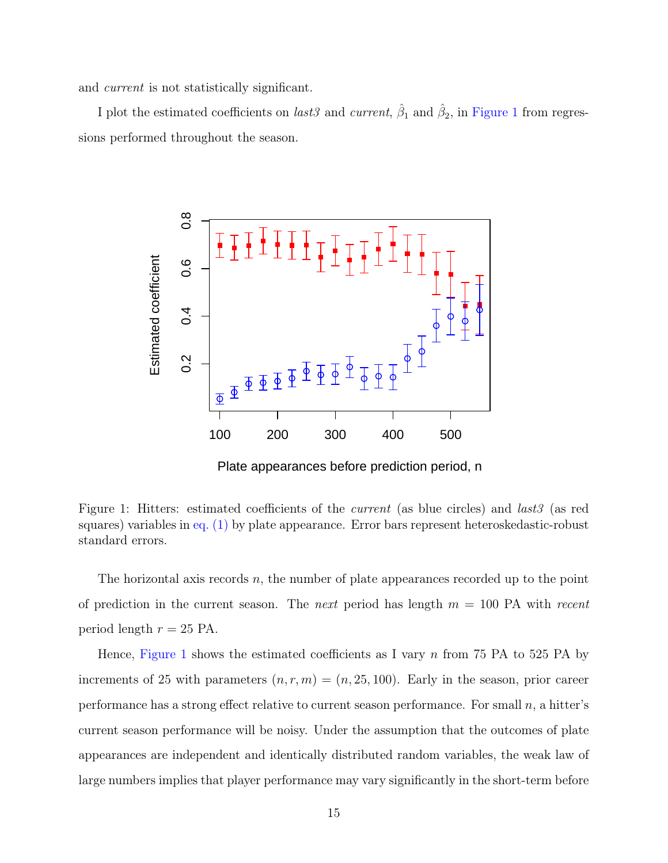and current is not statistically significant.

<span id="page-20-0"></span>I plot the estimated coefficients on *last3* and *current*,  $\hat{\beta}_1$  and  $\hat{\beta}_2$ , in [Figure 1](#page-20-0) from regressions performed throughout the season.



Figure 1: Hitters: estimated coefficients of the *current* (as blue circles) and *last3* (as red squares) variables in [eq. \(1\)](#page-15-0) by plate appearance. Error bars represent heteroskedastic-robust standard errors.

The horizontal axis records  $n$ , the number of plate appearances recorded up to the point of prediction in the current season. The *next* period has length  $m = 100$  PA with recent period length  $r = 25$  PA.

Hence, [Figure 1](#page-20-0) shows the estimated coefficients as I vary  $n$  from 75 PA to 525 PA by increments of 25 with parameters  $(n, r, m) = (n, 25, 100)$ . Early in the season, prior career performance has a strong effect relative to current season performance. For small  $n$ , a hitter's current season performance will be noisy. Under the assumption that the outcomes of plate appearances are independent and identically distributed random variables, the weak law of large numbers implies that player performance may vary significantly in the short-term before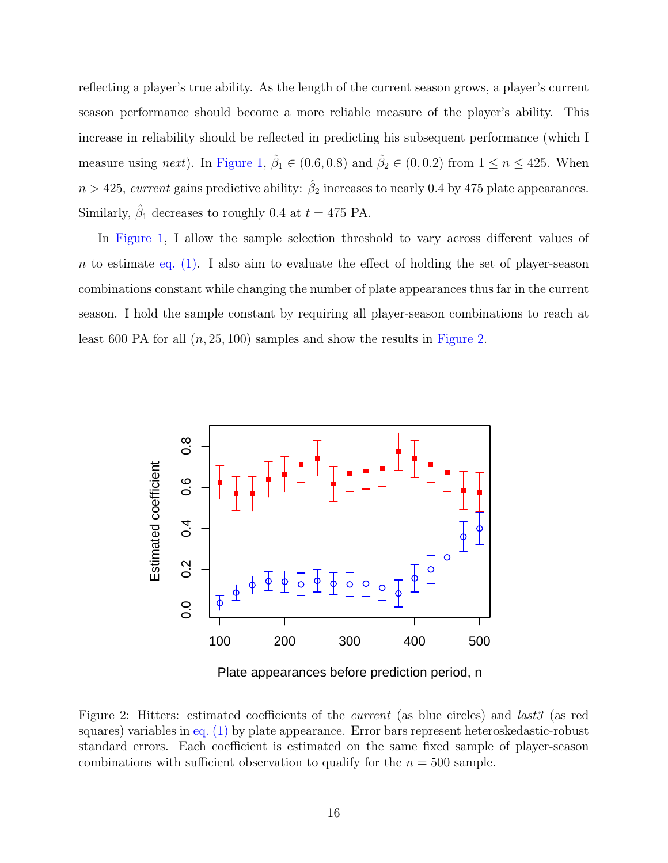reflecting a player's true ability. As the length of the current season grows, a player's current season performance should become a more reliable measure of the player's ability. This increase in reliability should be reflected in predicting his subsequent performance (which I measure using next). In [Figure 1,](#page-20-0)  $\hat{\beta}_1 \in (0.6, 0.8)$  and  $\hat{\beta}_2 \in (0, 0.2)$  from  $1 \leq n \leq 425$ . When  $n > 425$ , current gains predictive ability:  $\hat{\beta}_2$  increases to nearly 0.4 by 475 plate appearances. Similarly,  $\hat{\beta}_1$  decreases to roughly 0.4 at  $t = 475$  PA.

In [Figure 1,](#page-20-0) I allow the sample selection threshold to vary across different values of n to estimate eq.  $(1)$ . I also aim to evaluate the effect of holding the set of player-season combinations constant while changing the number of plate appearances thus far in the current season. I hold the sample constant by requiring all player-season combinations to reach at least 600 PA for all  $(n, 25, 100)$  samples and show the results in [Figure 2.](#page-21-0)

<span id="page-21-0"></span>

Plate appearances before prediction period, n

Figure 2: Hitters: estimated coefficients of the current (as blue circles) and last3 (as red squares) variables in [eq. \(1\)](#page-15-0) by plate appearance. Error bars represent heteroskedastic-robust standard errors. Each coefficient is estimated on the same fixed sample of player-season combinations with sufficient observation to qualify for the  $n = 500$  sample.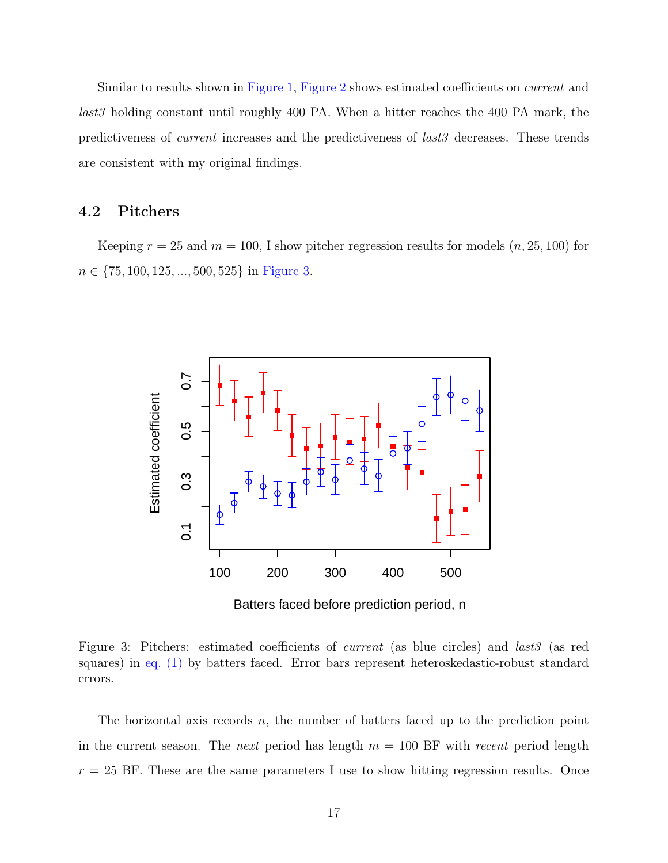Similar to results shown in [Figure 1,](#page-20-0) [Figure 2](#page-21-0) shows estimated coefficients on *current* and last3 holding constant until roughly 400 PA. When a hitter reaches the 400 PA mark, the predictiveness of current increases and the predictiveness of last3 decreases. These trends are consistent with my original findings.

### <span id="page-22-0"></span>4.2 Pitchers

<span id="page-22-1"></span>Keeping  $r = 25$  and  $m = 100$ , I show pitcher regression results for models  $(n, 25, 100)$  for  $n \in \{75, 100, 125, \ldots, 500, 525\}$  in [Figure 3.](#page-22-1)



Figure 3: Pitchers: estimated coefficients of *current* (as blue circles) and *last3* (as red squares) in [eq. \(1\)](#page-15-0) by batters faced. Error bars represent heteroskedastic-robust standard errors.

The horizontal axis records  $n$ , the number of batters faced up to the prediction point in the current season. The next period has length  $m = 100$  BF with recent period length  $r = 25$  BF. These are the same parameters I use to show hitting regression results. Once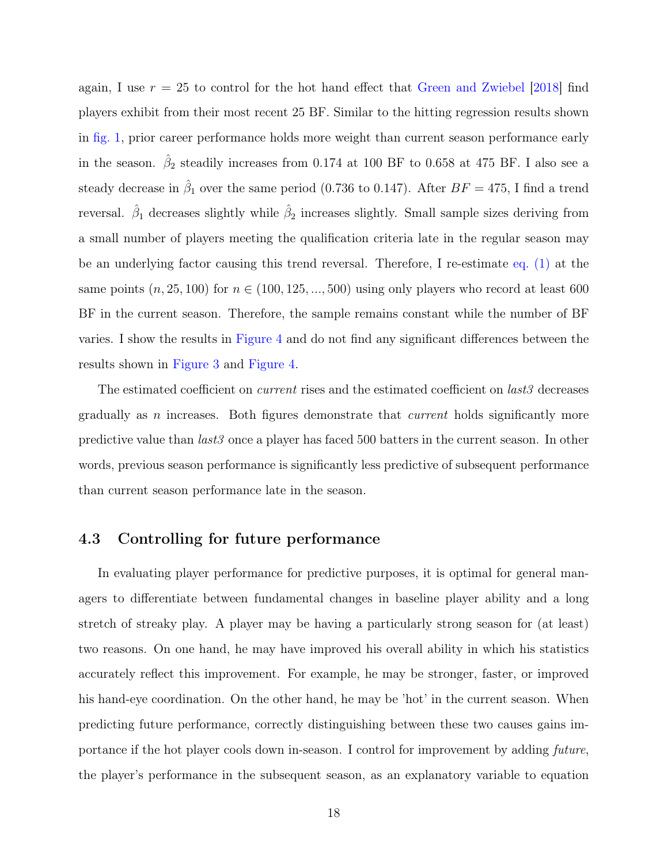again, I use  $r = 25$  to control for the hot hand effect that [Green and Zwiebel](#page-50-0) [\[2018\]](#page-50-0) find players exhibit from their most recent 25 BF. Similar to the hitting regression results shown in [fig. 1,](#page-20-0) prior career performance holds more weight than current season performance early in the season.  $\hat{\beta}_2$  steadily increases from 0.174 at 100 BF to 0.658 at 475 BF. I also see a steady decrease in  $\hat{\beta}_1$  over the same period (0.736 to 0.147). After  $BF = 475$ , I find a trend reversal.  $\hat{\beta}_1$  decreases slightly while  $\hat{\beta}_2$  increases slightly. Small sample sizes deriving from a small number of players meeting the qualification criteria late in the regular season may be an underlying factor causing this trend reversal. Therefore, I re-estimate [eq. \(1\)](#page-15-0) at the same points  $(n, 25, 100)$  for  $n \in (100, 125, ..., 500)$  using only players who record at least 600 BF in the current season. Therefore, the sample remains constant while the number of BF varies. I show the results in [Figure 4](#page-24-0) and do not find any significant differences between the results shown in [Figure 3](#page-22-1) and [Figure 4.](#page-24-0)

The estimated coefficient on *current* rises and the estimated coefficient on *last3* decreases gradually as n increases. Both figures demonstrate that *current* holds significantly more predictive value than  $last3$  once a player has faced 500 batters in the current season. In other words, previous season performance is significantly less predictive of subsequent performance than current season performance late in the season.

#### <span id="page-23-0"></span>4.3 Controlling for future performance

In evaluating player performance for predictive purposes, it is optimal for general managers to differentiate between fundamental changes in baseline player ability and a long stretch of streaky play. A player may be having a particularly strong season for (at least) two reasons. On one hand, he may have improved his overall ability in which his statistics accurately reflect this improvement. For example, he may be stronger, faster, or improved his hand-eye coordination. On the other hand, he may be 'hot' in the current season. When predicting future performance, correctly distinguishing between these two causes gains importance if the hot player cools down in-season. I control for improvement by adding future, the player's performance in the subsequent season, as an explanatory variable to equation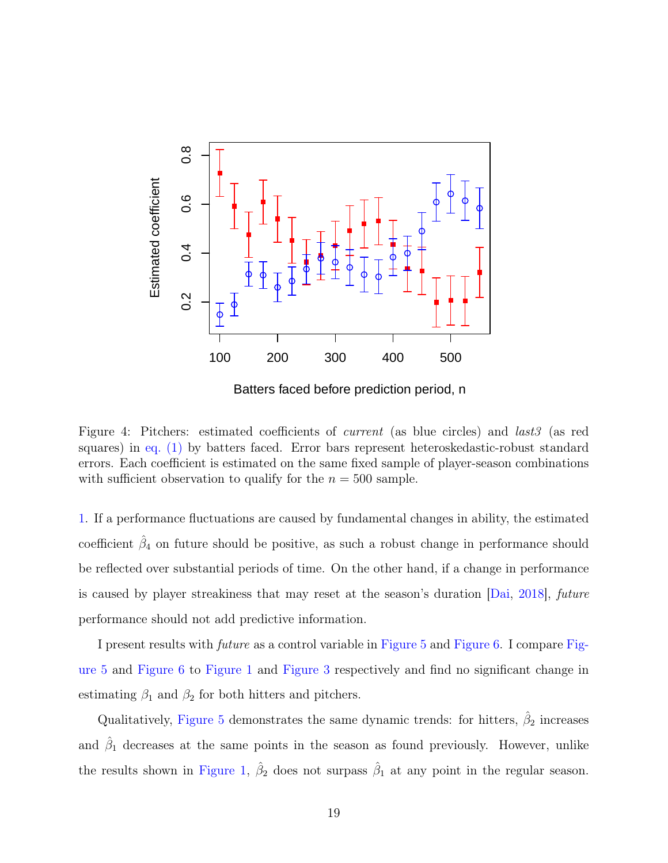<span id="page-24-0"></span>

Figure 4: Pitchers: estimated coefficients of *current* (as blue circles) and *last3* (as red squares) in [eq. \(1\)](#page-15-0) by batters faced. Error bars represent heteroskedastic-robust standard errors. Each coefficient is estimated on the same fixed sample of player-season combinations

with sufficient observation to qualify for the  $n = 500$  sample.

[1](#page-15-0). If a performance fluctuations are caused by fundamental changes in ability, the estimated coefficient  $\hat{\beta}_4$  on future should be positive, as such a robust change in performance should be reflected over substantial periods of time. On the other hand, if a change in performance is caused by player streakiness that may reset at the season's duration [\[Dai,](#page-50-8) [2018\]](#page-50-8), future performance should not add predictive information.

I present results with future as a control variable in [Figure 5](#page-25-0) and [Figure 6.](#page-26-1) I compare [Fig](#page-25-0)[ure 5](#page-25-0) and [Figure 6](#page-26-1) to [Figure 1](#page-20-0) and [Figure 3](#page-22-1) respectively and find no significant change in estimating  $\beta_1$  and  $\beta_2$  for both hitters and pitchers.

Qualitatively, [Figure 5](#page-25-0) demonstrates the same dynamic trends: for hitters,  $\hat{\beta}_2$  increases and  $\hat{\beta}_1$  decreases at the same points in the season as found previously. However, unlike the results shown in [Figure 1,](#page-20-0)  $\hat{\beta}_2$  does not surpass  $\hat{\beta}_1$  at any point in the regular season.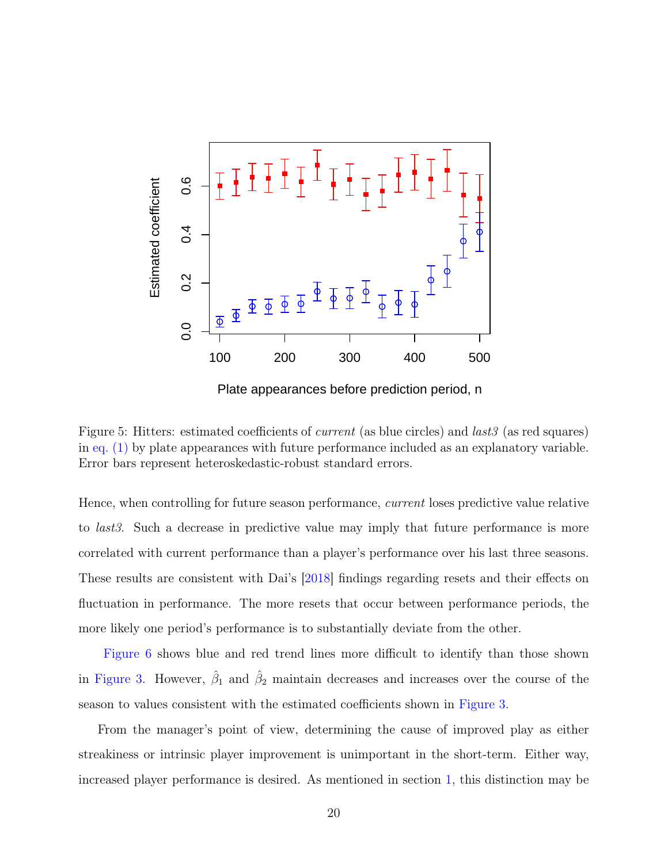<span id="page-25-0"></span>

Plate appearances before prediction period, n

Figure 5: Hitters: estimated coefficients of *current* (as blue circles) and *last3* (as red squares) in [eq. \(1\)](#page-15-0) by plate appearances with future performance included as an explanatory variable. Error bars represent heteroskedastic-robust standard errors.

Hence, when controlling for future season performance, current loses predictive value relative to last3. Such a decrease in predictive value may imply that future performance is more correlated with current performance than a player's performance over his last three seasons. These results are consistent with Dai's [\[2018\]](#page-50-8) findings regarding resets and their effects on fluctuation in performance. The more resets that occur between performance periods, the more likely one period's performance is to substantially deviate from the other.

[Figure 6](#page-26-1) shows blue and red trend lines more difficult to identify than those shown in [Figure 3.](#page-22-1) However,  $\hat{\beta}_1$  and  $\hat{\beta}_2$  maintain decreases and increases over the course of the season to values consistent with the estimated coefficients shown in [Figure 3.](#page-22-1)

From the manager's point of view, determining the cause of improved play as either streakiness or intrinsic player improvement is unimportant in the short-term. Either way, increased player performance is desired. As mentioned in section [1,](#page-6-0) this distinction may be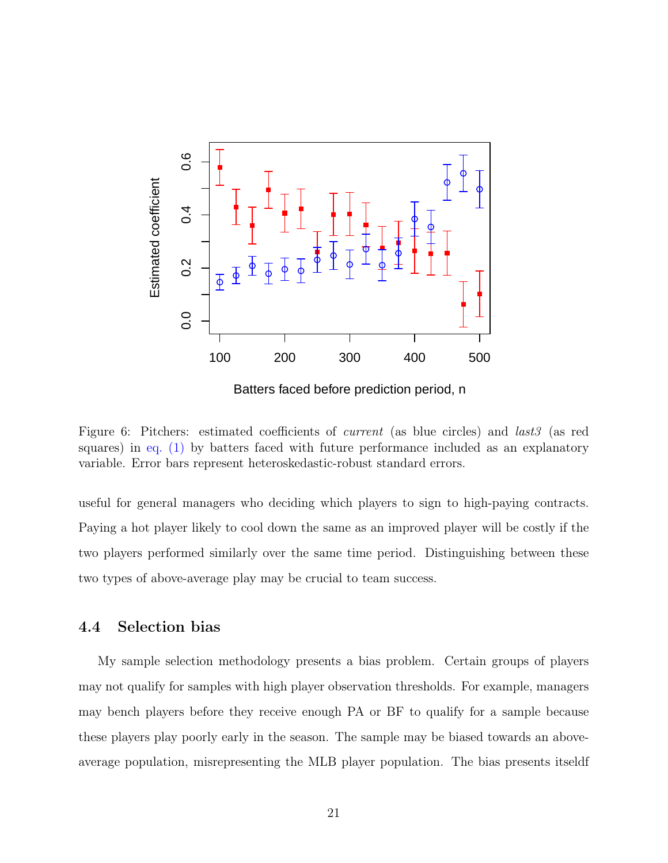<span id="page-26-1"></span>

Batters faced before prediction period, n

Figure 6: Pitchers: estimated coefficients of *current* (as blue circles) and *last3* (as red squares) in [eq. \(1\)](#page-15-0) by batters faced with future performance included as an explanatory variable. Error bars represent heteroskedastic-robust standard errors.

useful for general managers who deciding which players to sign to high-paying contracts. Paying a hot player likely to cool down the same as an improved player will be costly if the two players performed similarly over the same time period. Distinguishing between these two types of above-average play may be crucial to team success.

### <span id="page-26-0"></span>4.4 Selection bias

My sample selection methodology presents a bias problem. Certain groups of players may not qualify for samples with high player observation thresholds. For example, managers may bench players before they receive enough PA or BF to qualify for a sample because these players play poorly early in the season. The sample may be biased towards an aboveaverage population, misrepresenting the MLB player population. The bias presents itseldf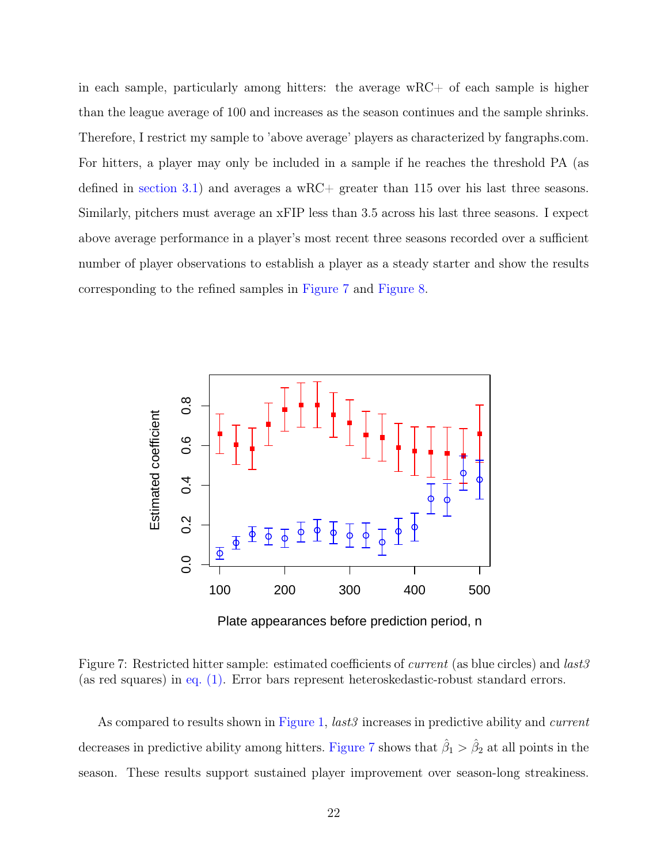in each sample, particularly among hitters: the average wRC+ of each sample is higher than the league average of 100 and increases as the season continues and the sample shrinks. Therefore, I restrict my sample to 'above average' players as characterized by fangraphs.com. For hitters, a player may only be included in a sample if he reaches the threshold PA (as defined in [section 3.1\)](#page-18-0) and averages a  $wRC$ + greater than 115 over his last three seasons. Similarly, pitchers must average an xFIP less than 3.5 across his last three seasons. I expect above average performance in a player's most recent three seasons recorded over a sufficient number of player observations to establish a player as a steady starter and show the results corresponding to the refined samples in [Figure 7](#page-27-0) and [Figure 8.](#page-28-1)

<span id="page-27-0"></span>

Figure 7: Restricted hitter sample: estimated coefficients of *current* (as blue circles) and *last3* (as red squares) in [eq. \(1\).](#page-15-0) Error bars represent heteroskedastic-robust standard errors.

As compared to results shown in [Figure 1,](#page-20-0) *last3* increases in predictive ability and *current* decreases in predictive ability among hitters. [Figure 7](#page-27-0) shows that  $\hat{\beta}_1 > \hat{\beta}_2$  at all points in the season. These results support sustained player improvement over season-long streakiness.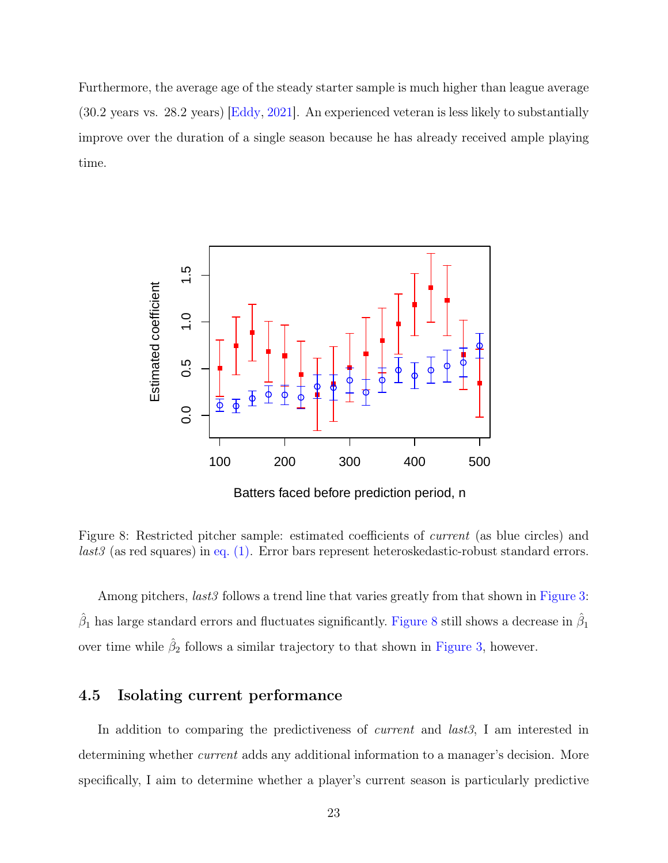Furthermore, the average age of the steady starter sample is much higher than league average (30.2 years vs. 28.2 years) [\[Eddy,](#page-50-10) [2021\]](#page-50-10). An experienced veteran is less likely to substantially improve over the duration of a single season because he has already received ample playing time.

<span id="page-28-1"></span>

Figure 8: Restricted pitcher sample: estimated coefficients of current (as blue circles) and last3 (as red squares) in [eq. \(1\).](#page-15-0) Error bars represent heteroskedastic-robust standard errors.

Among pitchers, *last3* follows a trend line that varies greatly from that shown in [Figure 3:](#page-22-1)  $\hat{\beta}_1$  has large standard errors and fluctuates significantly. [Figure 8](#page-28-1) still shows a decrease in  $\hat{\beta}_1$ over time while  $\hat{\beta}_2$  follows a similar trajectory to that shown in [Figure 3,](#page-22-1) however.

### <span id="page-28-0"></span>4.5 Isolating current performance

In addition to comparing the predictiveness of *current* and *last3*, I am interested in determining whether *current* adds any additional information to a manager's decision. More specifically, I aim to determine whether a player's current season is particularly predictive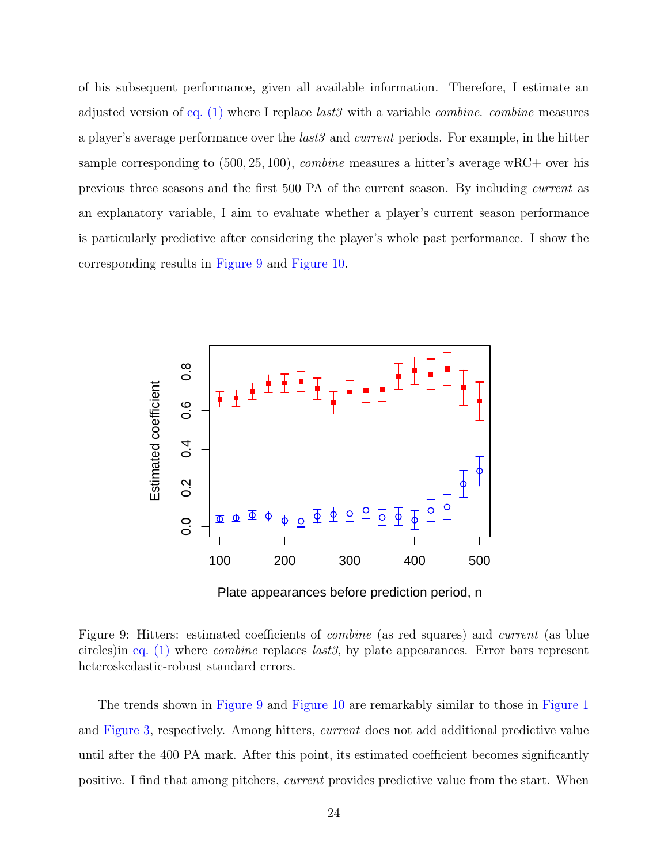of his subsequent performance, given all available information. Therefore, I estimate an adjusted version of [eq. \(1\)](#page-15-0) where I replace *last3* with a variable *combine*. *combine* measures a player's average performance over the *last3* and *current* periods. For example, in the hitter sample corresponding to  $(500, 25, 100)$ , *combine* measures a hitter's average wRC+ over his previous three seasons and the first 500 PA of the current season. By including current as an explanatory variable, I aim to evaluate whether a player's current season performance is particularly predictive after considering the player's whole past performance. I show the corresponding results in [Figure 9](#page-29-0) and [Figure 10.](#page-30-1)

<span id="page-29-0"></span>

Plate appearances before prediction period, n

Figure 9: Hitters: estimated coefficients of *combine* (as red squares) and *current* (as blue circles)in eq.  $(1)$  where *combine* replaces *last3*, by plate appearances. Error bars represent heteroskedastic-robust standard errors.

The trends shown in [Figure 9](#page-29-0) and [Figure 10](#page-30-1) are remarkably similar to those in [Figure 1](#page-20-0) and [Figure 3,](#page-22-1) respectively. Among hitters, current does not add additional predictive value until after the 400 PA mark. After this point, its estimated coefficient becomes significantly positive. I find that among pitchers, current provides predictive value from the start. When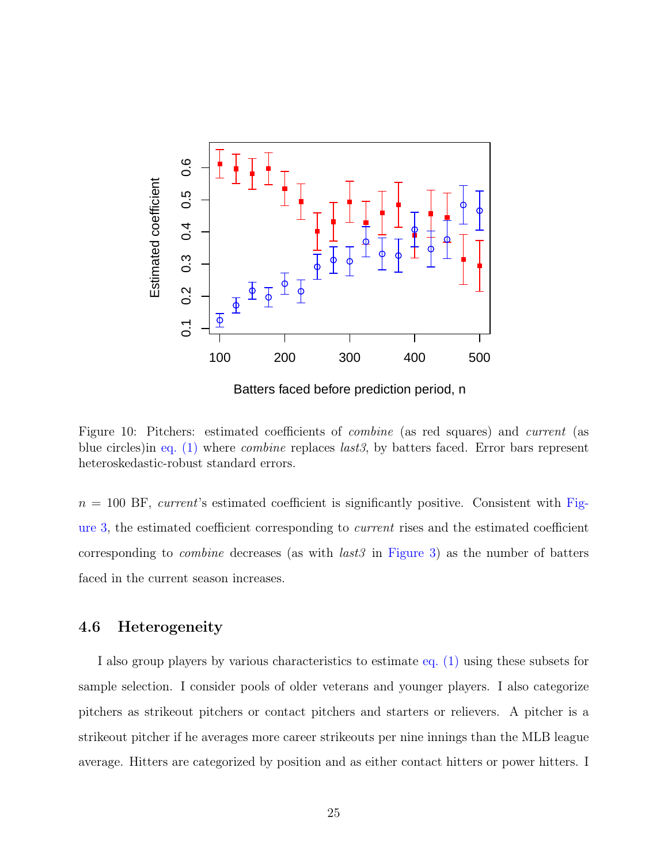<span id="page-30-1"></span>

Batters faced before prediction period, n

Figure 10: Pitchers: estimated coefficients of combine (as red squares) and current (as blue circles)in [eq. \(1\)](#page-15-0) where combine replaces last3, by batters faced. Error bars represent heteroskedastic-robust standard errors.

 $n = 100$  BF, current's estimated coefficient is significantly positive. Consistent with [Fig](#page-22-1)[ure 3,](#page-22-1) the estimated coefficient corresponding to current rises and the estimated coefficient corresponding to *combine* decreases (as with  $last3$  in [Figure 3\)](#page-22-1) as the number of batters faced in the current season increases.

#### <span id="page-30-0"></span>4.6 Heterogeneity

I also group players by various characteristics to estimate [eq. \(1\)](#page-15-0) using these subsets for sample selection. I consider pools of older veterans and younger players. I also categorize pitchers as strikeout pitchers or contact pitchers and starters or relievers. A pitcher is a strikeout pitcher if he averages more career strikeouts per nine innings than the MLB league average. Hitters are categorized by position and as either contact hitters or power hitters. I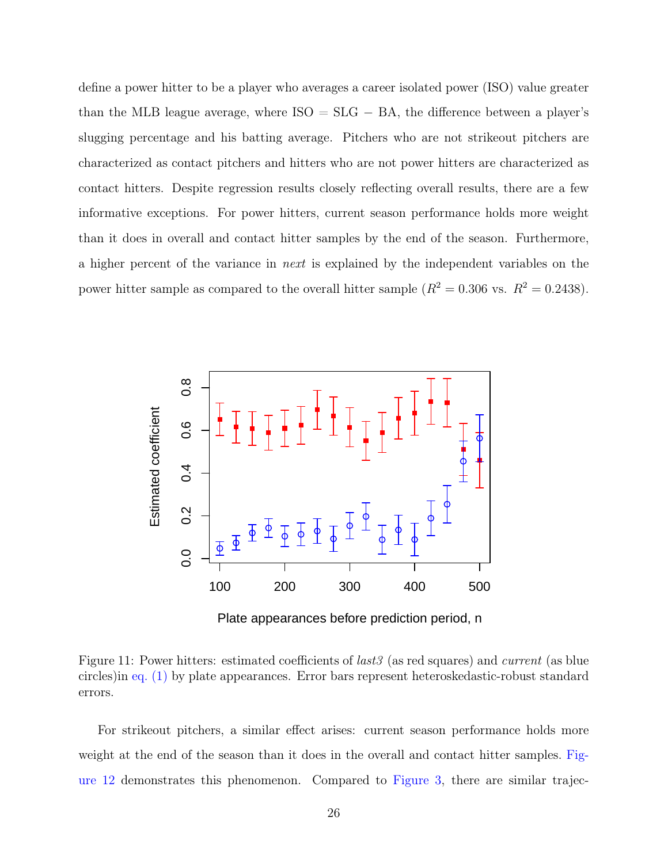define a power hitter to be a player who averages a career isolated power (ISO) value greater than the MLB league average, where  $ISO = SLG - BA$ , the difference between a player's slugging percentage and his batting average. Pitchers who are not strikeout pitchers are characterized as contact pitchers and hitters who are not power hitters are characterized as contact hitters. Despite regression results closely reflecting overall results, there are a few informative exceptions. For power hitters, current season performance holds more weight than it does in overall and contact hitter samples by the end of the season. Furthermore, a higher percent of the variance in next is explained by the independent variables on the power hitter sample as compared to the overall hitter sample  $(R^2 = 0.306 \text{ vs. } R^2 = 0.2438)$ .



Figure 11: Power hitters: estimated coefficients of *last3* (as red squares) and *current* (as blue circles)in [eq. \(1\)](#page-15-0) by plate appearances. Error bars represent heteroskedastic-robust standard errors.

For strikeout pitchers, a similar effect arises: current season performance holds more weight at the end of the season than it does in the overall and contact hitter samples. [Fig](#page-32-0)[ure 12](#page-32-0) demonstrates this phenomenon. Compared to [Figure 3,](#page-22-1) there are similar trajec-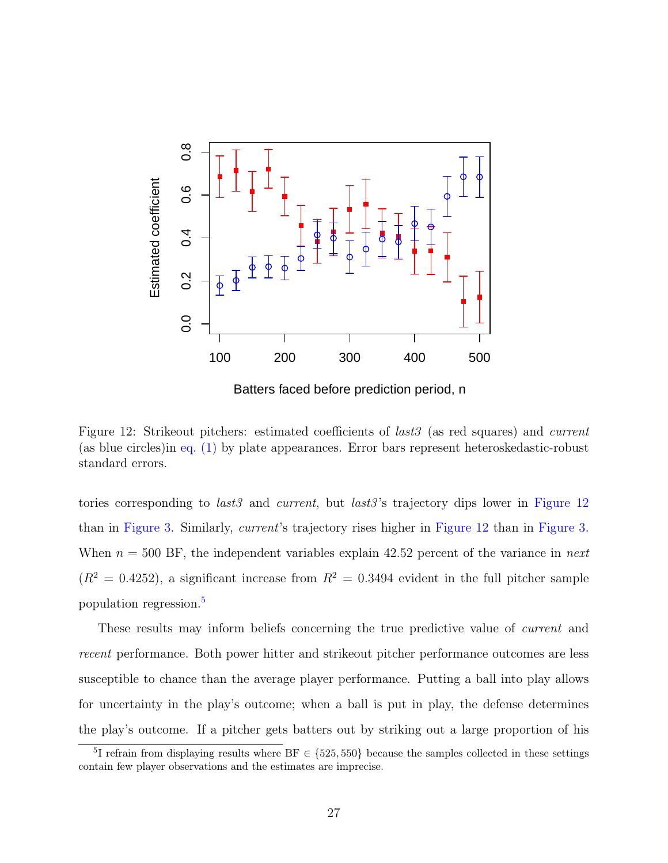<span id="page-32-0"></span>

Batters faced before prediction period, n

Figure 12: Strikeout pitchers: estimated coefficients of *last3* (as red squares) and *current* (as blue circles)in [eq. \(1\)](#page-15-0) by plate appearances. Error bars represent heteroskedastic-robust standard errors.

tories corresponding to *last3* and *current*, but *last3*'s trajectory dips lower in [Figure 12](#page-32-0) than in [Figure 3.](#page-22-1) Similarly, current's trajectory rises higher in [Figure 12](#page-32-0) than in [Figure 3.](#page-22-1) When  $n = 500$  BF, the independent variables explain 42.52 percent of the variance in *next*  $(R^{2} = 0.4252)$ , a significant increase from  $R^{2} = 0.3494$  evident in the full pitcher sample population regression.[5](#page-32-1)

These results may inform beliefs concerning the true predictive value of *current* and recent performance. Both power hitter and strikeout pitcher performance outcomes are less susceptible to chance than the average player performance. Putting a ball into play allows for uncertainty in the play's outcome; when a ball is put in play, the defense determines the play's outcome. If a pitcher gets batters out by striking out a large proportion of his

<span id="page-32-1"></span><sup>&</sup>lt;sup>5</sup>I refrain from displaying results where  $BF \in \{525, 550\}$  because the samples collected in these settings contain few player observations and the estimates are imprecise.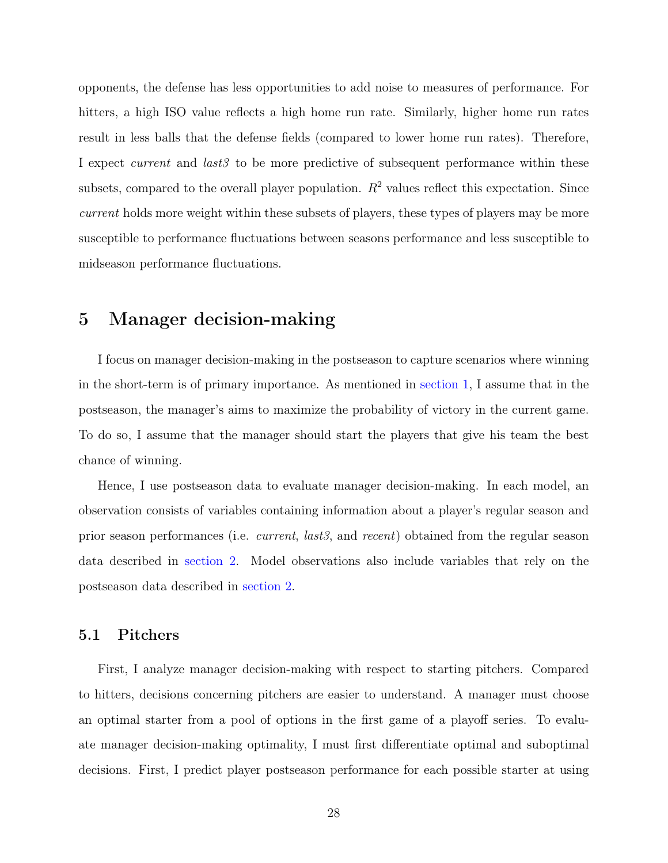opponents, the defense has less opportunities to add noise to measures of performance. For hitters, a high ISO value reflects a high home run rate. Similarly, higher home run rates result in less balls that the defense fields (compared to lower home run rates). Therefore, I expect *current* and *last3* to be more predictive of subsequent performance within these subsets, compared to the overall player population.  $R^2$  values reflect this expectation. Since current holds more weight within these subsets of players, these types of players may be more susceptible to performance fluctuations between seasons performance and less susceptible to midseason performance fluctuations.

### <span id="page-33-0"></span>5 Manager decision-making

I focus on manager decision-making in the postseason to capture scenarios where winning in the short-term is of primary importance. As mentioned in [section 1,](#page-6-0) I assume that in the postseason, the manager's aims to maximize the probability of victory in the current game. To do so, I assume that the manager should start the players that give his team the best chance of winning.

Hence, I use postseason data to evaluate manager decision-making. In each model, an observation consists of variables containing information about a player's regular season and prior season performances (i.e. current, last3, and recent) obtained from the regular season data described in [section 2.](#page-13-1) Model observations also include variables that rely on the postseason data described in [section 2.](#page-13-1)

#### <span id="page-33-1"></span>5.1 Pitchers

First, I analyze manager decision-making with respect to starting pitchers. Compared to hitters, decisions concerning pitchers are easier to understand. A manager must choose an optimal starter from a pool of options in the first game of a playoff series. To evaluate manager decision-making optimality, I must first differentiate optimal and suboptimal decisions. First, I predict player postseason performance for each possible starter at using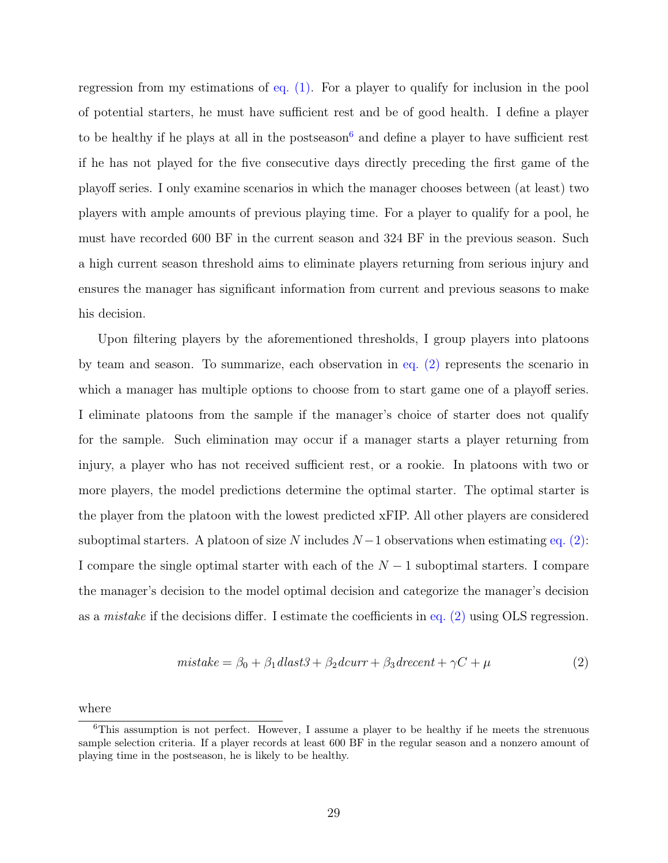regression from my estimations of [eq. \(1\).](#page-15-0) For a player to qualify for inclusion in the pool of potential starters, he must have sufficient rest and be of good health. I define a player to be healthy if he plays at all in the postseason<sup>[6](#page-34-0)</sup> and define a player to have sufficient rest if he has not played for the five consecutive days directly preceding the first game of the playoff series. I only examine scenarios in which the manager chooses between (at least) two players with ample amounts of previous playing time. For a player to qualify for a pool, he must have recorded 600 BF in the current season and 324 BF in the previous season. Such a high current season threshold aims to eliminate players returning from serious injury and ensures the manager has significant information from current and previous seasons to make his decision.

Upon filtering players by the aforementioned thresholds, I group players into platoons by team and season. To summarize, each observation in [eq. \(2\)](#page-34-1) represents the scenario in which a manager has multiple options to choose from to start game one of a playoff series. I eliminate platoons from the sample if the manager's choice of starter does not qualify for the sample. Such elimination may occur if a manager starts a player returning from injury, a player who has not received sufficient rest, or a rookie. In platoons with two or more players, the model predictions determine the optimal starter. The optimal starter is the player from the platoon with the lowest predicted xFIP. All other players are considered suboptimal starters. A platoon of size N includes  $N-1$  observations when estimating [eq. \(2\):](#page-34-1) I compare the single optimal starter with each of the  $N-1$  suboptimal starters. I compare the manager's decision to the model optimal decision and categorize the manager's decision as a mistake if the decisions differ. I estimate the coefficients in [eq. \(2\)](#page-34-1) using OLS regression.

<span id="page-34-1"></span>
$$
mistake = \beta_0 + \beta_1 dlast3 + \beta_2 dcurr + \beta_3 drecent + \gamma C + \mu
$$
\n(2)

where

<span id="page-34-0"></span><sup>&</sup>lt;sup>6</sup>This assumption is not perfect. However, I assume a player to be healthy if he meets the strenuous sample selection criteria. If a player records at least 600 BF in the regular season and a nonzero amount of playing time in the postseason, he is likely to be healthy.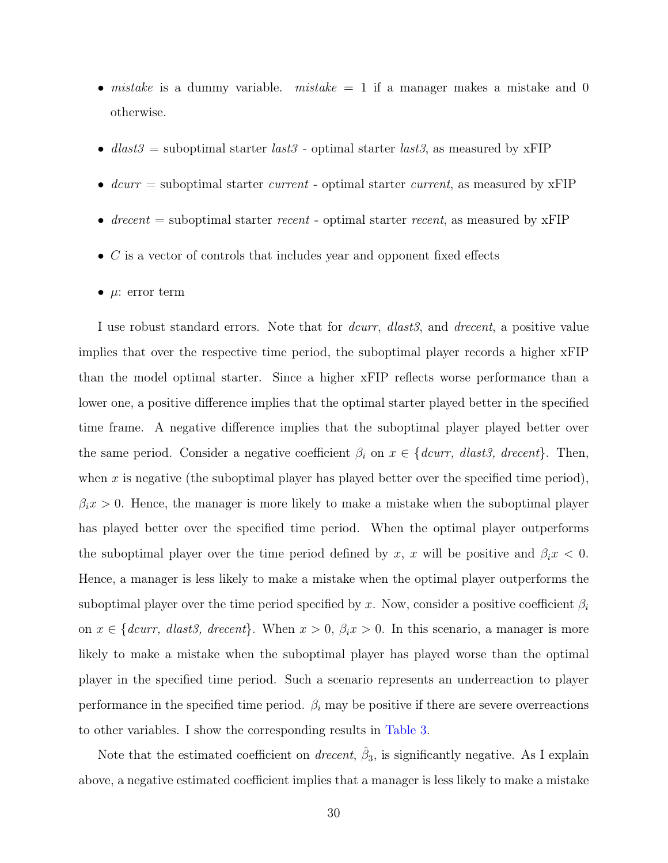- mistake is a dummy variable. mistake  $= 1$  if a manager makes a mistake and 0 otherwise.
- dlast  $3 =$  suboptimal starter last  $3 -$  optimal starter last  $3$ , as measured by xFIP
- $deurr =$  suboptimal starter *current* optimal starter *current*, as measured by xFIP
- drecent = suboptimal starter recent optimal starter recent, as measured by  $xFIP$
- $\bullet$  C is a vector of controls that includes year and opponent fixed effects
- $\mu$ : error term

I use robust standard errors. Note that for *dcurr*, *dlast3*, and *drecent*, a positive value implies that over the respective time period, the suboptimal player records a higher xFIP than the model optimal starter. Since a higher xFIP reflects worse performance than a lower one, a positive difference implies that the optimal starter played better in the specified time frame. A negative difference implies that the suboptimal player played better over the same period. Consider a negative coefficient  $\beta_i$  on  $x \in \{dcurr, dlast3, drecent\}$ . Then, when x is negative (the suboptimal player has played better over the specified time period),  $\beta_i x > 0$ . Hence, the manager is more likely to make a mistake when the suboptimal player has played better over the specified time period. When the optimal player outperforms the suboptimal player over the time period defined by x, x will be positive and  $\beta_i x < 0$ . Hence, a manager is less likely to make a mistake when the optimal player outperforms the suboptimal player over the time period specified by x. Now, consider a positive coefficient  $\beta_i$ on  $x \in \{deurr, \; dlast3, \; drecent\}.$  When  $x > 0, \; \beta_i x > 0$ . In this scenario, a manager is more likely to make a mistake when the suboptimal player has played worse than the optimal player in the specified time period. Such a scenario represents an underreaction to player performance in the specified time period.  $\beta_i$  may be positive if there are severe overreactions to other variables. I show the corresponding results in [Table 3.](#page-36-0)

Note that the estimated coefficient on *drecent*,  $\hat{\beta}_3$ , is significantly negative. As I explain above, a negative estimated coefficient implies that a manager is less likely to make a mistake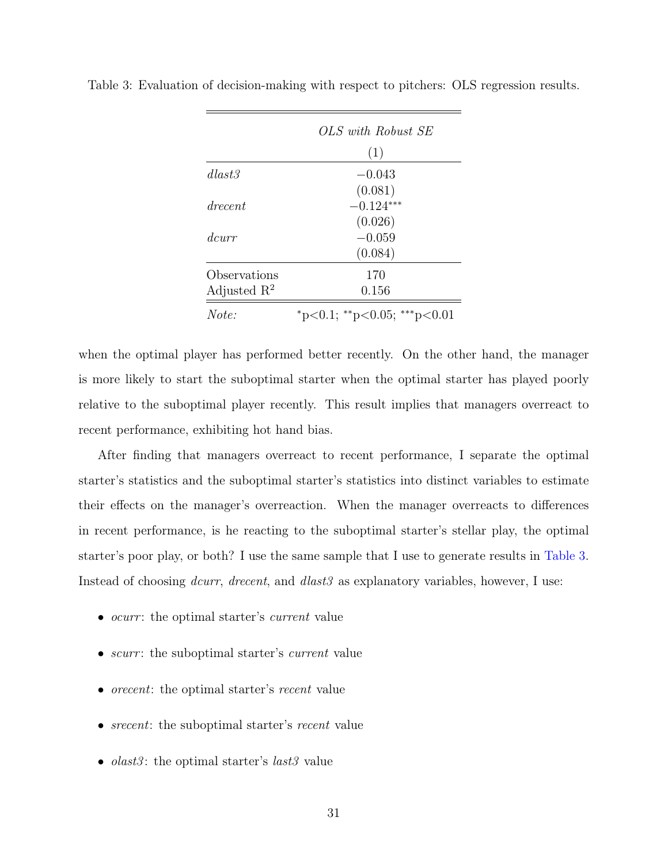|                         | OLS with Robust SE                      |
|-------------------------|-----------------------------------------|
|                         | (1)                                     |
| dlast3                  | $-0.043$                                |
|                         | (0.081)                                 |
| drecent                 | $-0.124***$                             |
|                         | (0.026)                                 |
| dcurr                   | $-0.059$                                |
|                         | (0.084)                                 |
| Observations            | 170                                     |
| Adjusted $\mathbb{R}^2$ | 0.156                                   |
| Note:                   | $*_{p<0.1;}$ $*_{p<0.05;}$ $*_{p<0.01}$ |

<span id="page-36-0"></span>Table 3: Evaluation of decision-making with respect to pitchers: OLS regression results.

when the optimal player has performed better recently. On the other hand, the manager is more likely to start the suboptimal starter when the optimal starter has played poorly relative to the suboptimal player recently. This result implies that managers overreact to recent performance, exhibiting hot hand bias.

After finding that managers overreact to recent performance, I separate the optimal starter's statistics and the suboptimal starter's statistics into distinct variables to estimate their effects on the manager's overreaction. When the manager overreacts to differences in recent performance, is he reacting to the suboptimal starter's stellar play, the optimal starter's poor play, or both? I use the same sample that I use to generate results in [Table 3.](#page-36-0) Instead of choosing *dcurr*, *drecent*, and *dlast3* as explanatory variables, however, I use:

- *ocurr*: the optimal starter's *current* value
- *scurr*: the suboptimal starter's *current* value
- *orecent*: the optimal starter's *recent* value
- $\bullet\,\,s recent\colon$  the suboptimal starter's  $recent$  value
- *olast3*: the optimal starter's *last3* value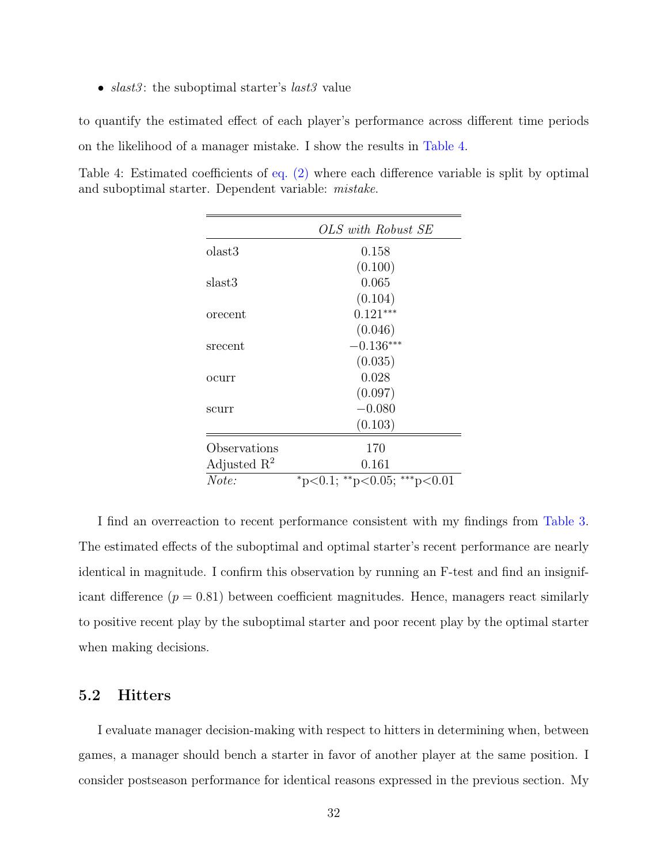•  $slast3$ : the suboptimal starter's  $last3$  value

to quantify the estimated effect of each player's performance across different time periods on the likelihood of a manager mistake. I show the results in [Table 4.](#page-37-1)

<span id="page-37-1"></span>Table 4: Estimated coefficients of [eq. \(2\)](#page-34-1) where each difference variable is split by optimal and suboptimal starter. Dependent variable: mistake.

|                         | OLS with Robust SE                      |
|-------------------------|-----------------------------------------|
| olast3                  | 0.158                                   |
|                         | (0.100)                                 |
| slast3                  | 0.065                                   |
|                         | (0.104)                                 |
| orecent                 | $0.121***$                              |
|                         | (0.046)                                 |
| srecent                 | $-0.136***$                             |
|                         | (0.035)                                 |
| ocurr                   | 0.028                                   |
|                         | (0.097)                                 |
| scurr                   | $-0.080$                                |
|                         | (0.103)                                 |
| Observations            | 170                                     |
| Adjusted $\mathbb{R}^2$ | 0.161                                   |
| Note:                   | $*_{p<0.1;}$ $*_{p<0.05;}$ $*_{p<0.01}$ |

I find an overreaction to recent performance consistent with my findings from [Table 3.](#page-36-0) The estimated effects of the suboptimal and optimal starter's recent performance are nearly identical in magnitude. I confirm this observation by running an F-test and find an insignificant difference  $(p = 0.81)$  between coefficient magnitudes. Hence, managers react similarly to positive recent play by the suboptimal starter and poor recent play by the optimal starter when making decisions.

### <span id="page-37-0"></span>5.2 Hitters

I evaluate manager decision-making with respect to hitters in determining when, between games, a manager should bench a starter in favor of another player at the same position. I consider postseason performance for identical reasons expressed in the previous section. My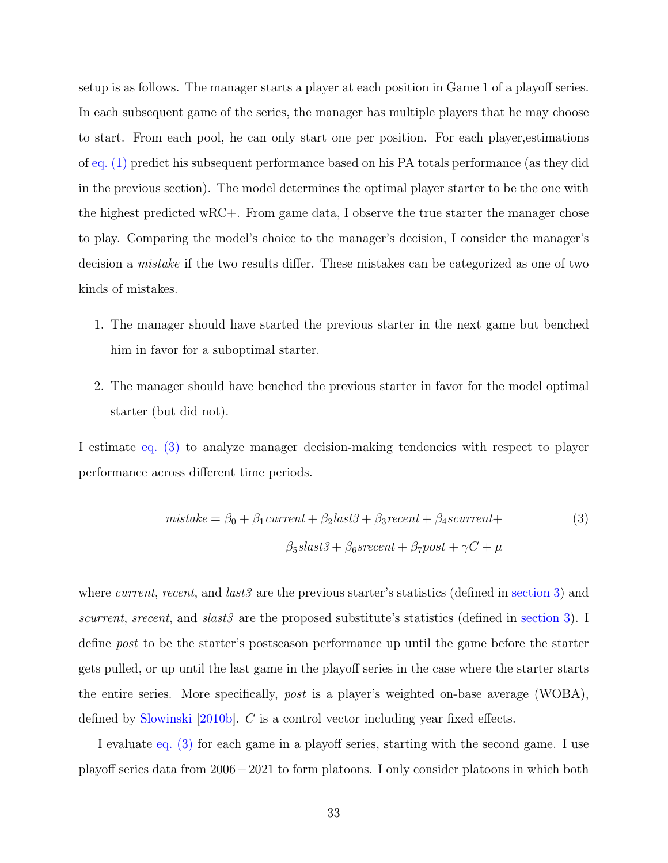setup is as follows. The manager starts a player at each position in Game 1 of a playoff series. In each subsequent game of the series, the manager has multiple players that he may choose to start. From each pool, he can only start one per position. For each player,estimations of [eq. \(1\)](#page-15-0) predict his subsequent performance based on his PA totals performance (as they did in the previous section). The model determines the optimal player starter to be the one with the highest predicted wRC+. From game data, I observe the true starter the manager chose to play. Comparing the model's choice to the manager's decision, I consider the manager's decision a mistake if the two results differ. These mistakes can be categorized as one of two kinds of mistakes.

- 1. The manager should have started the previous starter in the next game but benched him in favor for a suboptimal starter.
- 2. The manager should have benched the previous starter in favor for the model optimal starter (but did not).

I estimate [eq. \(3\)](#page-38-0) to analyze manager decision-making tendencies with respect to player performance across different time periods.

<span id="page-38-0"></span>
$$
mistake = \beta_0 + \beta_1 current + \beta_2 last3 + \beta_3 recent + \beta_4 scurrent +
$$
  

$$
\beta_5 slast3 + \beta_6 s recent + \beta_7 post + \gamma C + \mu
$$

$$
(3)
$$

where *current, recent*, and *last3* are the previous starter's statistics (defined in [section 3\)](#page-14-0) and scurrent, srecent, and slast  $3$  are the proposed substitute's statistics (defined in [section 3\)](#page-14-0). I define post to be the starter's postseason performance up until the game before the starter gets pulled, or up until the last game in the playoff series in the case where the starter starts the entire series. More specifically, post is a player's weighted on-base average (WOBA), defined by [Slowinski](#page-52-3) [\[2010b\]](#page-52-3). C is a control vector including year fixed effects.

I evaluate [eq. \(3\)](#page-38-0) for each game in a playoff series, starting with the second game. I use playoff series data from 2006−2021 to form platoons. I only consider platoons in which both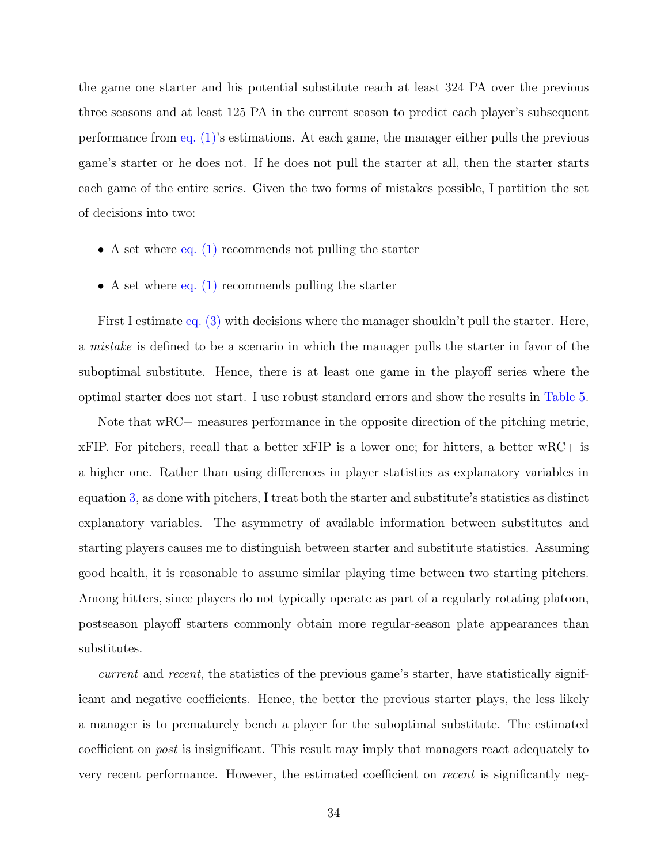the game one starter and his potential substitute reach at least 324 PA over the previous three seasons and at least 125 PA in the current season to predict each player's subsequent performance from [eq. \(1\)'](#page-15-0)s estimations. At each game, the manager either pulls the previous game's starter or he does not. If he does not pull the starter at all, then the starter starts each game of the entire series. Given the two forms of mistakes possible, I partition the set of decisions into two:

- A set where eq.  $(1)$  recommends not pulling the starter
- A set where eq.  $(1)$  recommends pulling the starter

First I estimate [eq. \(3\)](#page-38-0) with decisions where the manager shouldn't pull the starter. Here, a mistake is defined to be a scenario in which the manager pulls the starter in favor of the suboptimal substitute. Hence, there is at least one game in the playoff series where the optimal starter does not start. I use robust standard errors and show the results in [Table 5.](#page-40-0)

Note that wRC+ measures performance in the opposite direction of the pitching metric,  $xFIP.$  For pitchers, recall that a better  $xFIP$  is a lower one; for hitters, a better  $wRC+$  is a higher one. Rather than using differences in player statistics as explanatory variables in equation [3](#page-38-0), as done with pitchers, I treat both the starter and substitute's statistics as distinct explanatory variables. The asymmetry of available information between substitutes and starting players causes me to distinguish between starter and substitute statistics. Assuming good health, it is reasonable to assume similar playing time between two starting pitchers. Among hitters, since players do not typically operate as part of a regularly rotating platoon, postseason playoff starters commonly obtain more regular-season plate appearances than substitutes.

current and recent, the statistics of the previous game's starter, have statistically significant and negative coefficients. Hence, the better the previous starter plays, the less likely a manager is to prematurely bench a player for the suboptimal substitute. The estimated coefficient on post is insignificant. This result may imply that managers react adequately to very recent performance. However, the estimated coefficient on recent is significantly neg-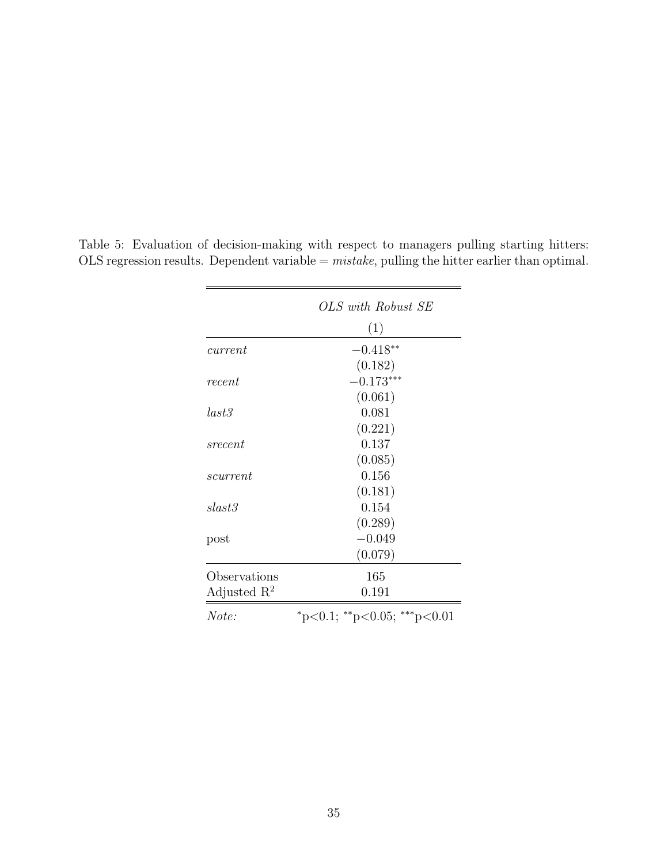|                         | OLS with Robust SE                      |
|-------------------------|-----------------------------------------|
|                         | (1)                                     |
| current                 | $-0.418**$                              |
|                         | (0.182)                                 |
| recent                  | $-0.173***$                             |
|                         | (0.061)                                 |
| last3                   | 0.081                                   |
|                         | (0.221)                                 |
| srecent                 | 0.137                                   |
|                         | (0.085)                                 |
| scurrent                | 0.156                                   |
|                         | (0.181)                                 |
| slast3                  | 0.154                                   |
|                         | (0.289)                                 |
| post                    | $-0.049$                                |
|                         | (0.079)                                 |
| Observations            | 165                                     |
| Adjusted $\mathbb{R}^2$ | 0.191                                   |
| Note:                   | $*_{p<0.1;}$ $*_{p<0.05;}$ $*_{p<0.01}$ |

<span id="page-40-0"></span>Table 5: Evaluation of decision-making with respect to managers pulling starting hitters: OLS regression results. Dependent variable  $=$   $mistake$ , pulling the hitter earlier than optimal.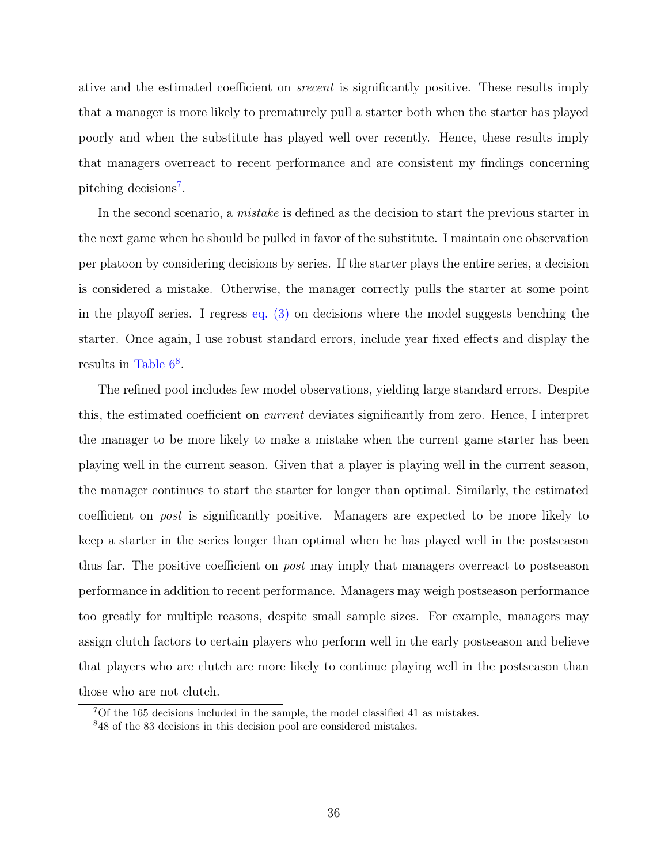ative and the estimated coefficient on srecent is significantly positive. These results imply that a manager is more likely to prematurely pull a starter both when the starter has played poorly and when the substitute has played well over recently. Hence, these results imply that managers overreact to recent performance and are consistent my findings concerning pitching decisions<sup>[7](#page-41-0)</sup>.

In the second scenario, a *mistake* is defined as the decision to start the previous starter in the next game when he should be pulled in favor of the substitute. I maintain one observation per platoon by considering decisions by series. If the starter plays the entire series, a decision is considered a mistake. Otherwise, the manager correctly pulls the starter at some point in the playoff series. I regress [eq. \(3\)](#page-38-0) on decisions where the model suggests benching the starter. Once again, I use robust standard errors, include year fixed effects and display the results in Table  $6^8$  $6^8$ .

The refined pool includes few model observations, yielding large standard errors. Despite this, the estimated coefficient on current deviates significantly from zero. Hence, I interpret the manager to be more likely to make a mistake when the current game starter has been playing well in the current season. Given that a player is playing well in the current season, the manager continues to start the starter for longer than optimal. Similarly, the estimated coefficient on post is significantly positive. Managers are expected to be more likely to keep a starter in the series longer than optimal when he has played well in the postseason thus far. The positive coefficient on *post* may imply that managers overreact to postseason performance in addition to recent performance. Managers may weigh postseason performance too greatly for multiple reasons, despite small sample sizes. For example, managers may assign clutch factors to certain players who perform well in the early postseason and believe that players who are clutch are more likely to continue playing well in the postseason than those who are not clutch.

<span id="page-41-0"></span><sup>7</sup>Of the 165 decisions included in the sample, the model classified 41 as mistakes.

<span id="page-41-1"></span><sup>8</sup>48 of the 83 decisions in this decision pool are considered mistakes.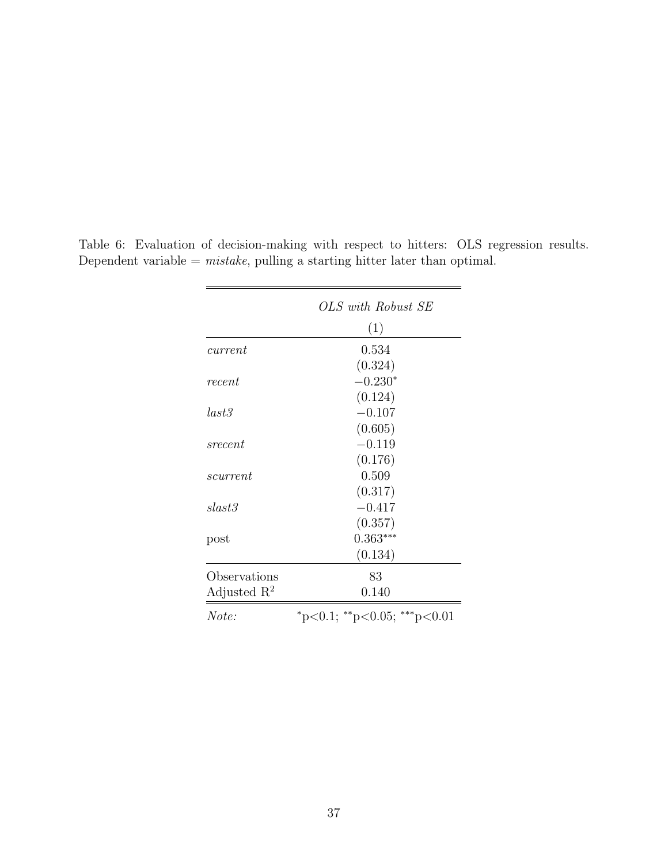|                         | OLS with Robust SE                      |
|-------------------------|-----------------------------------------|
|                         | (1)                                     |
| current                 | 0.534                                   |
|                         | (0.324)                                 |
| recent                  | $-0.230*$                               |
|                         | (0.124)                                 |
| last3                   | $-0.107$                                |
|                         | (0.605)                                 |
| srecent                 | $-0.119$                                |
|                         | (0.176)                                 |
| scurrent                | 0.509                                   |
|                         | (0.317)                                 |
| slast3                  | $-0.417$                                |
|                         | (0.357)                                 |
| post                    | $0.363***$                              |
|                         | (0.134)                                 |
| Observations            | 83                                      |
| Adjusted $\mathbb{R}^2$ | 0.140                                   |
| Note:                   | $*_{p<0.1;}$ $*_{p<0.05;}$ $*_{p<0.01}$ |

<span id="page-42-0"></span>Table 6: Evaluation of decision-making with respect to hitters: OLS regression results. Dependent variable  $=$  mistake, pulling a starting hitter later than optimal.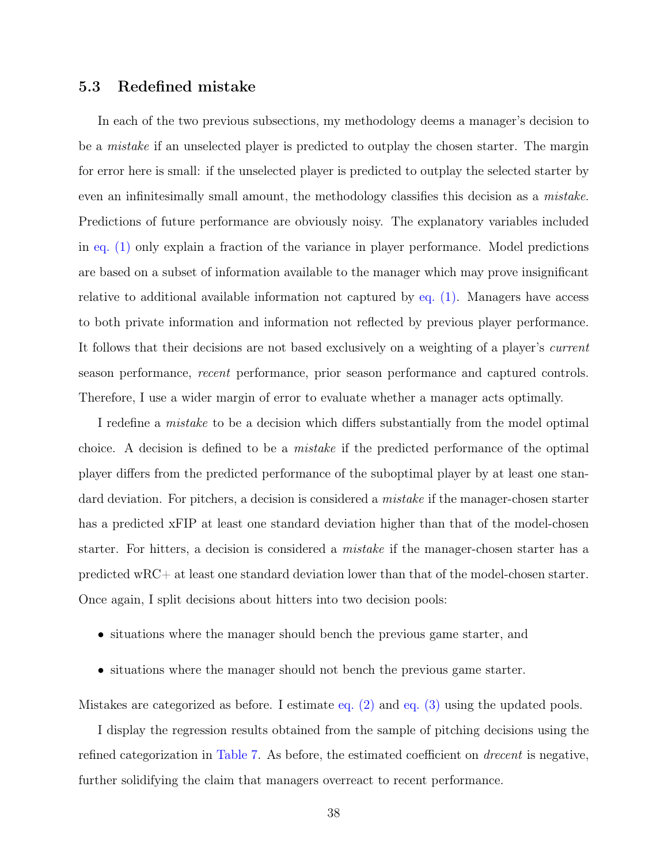#### <span id="page-43-0"></span>5.3 Redefined mistake

In each of the two previous subsections, my methodology deems a manager's decision to be a *mistake* if an unselected player is predicted to outplay the chosen starter. The margin for error here is small: if the unselected player is predicted to outplay the selected starter by even an infinitesimally small amount, the methodology classifies this decision as a mistake. Predictions of future performance are obviously noisy. The explanatory variables included in [eq. \(1\)](#page-15-0) only explain a fraction of the variance in player performance. Model predictions are based on a subset of information available to the manager which may prove insignificant relative to additional available information not captured by [eq. \(1\).](#page-15-0) Managers have access to both private information and information not reflected by previous player performance. It follows that their decisions are not based exclusively on a weighting of a player's current season performance, recent performance, prior season performance and captured controls. Therefore, I use a wider margin of error to evaluate whether a manager acts optimally.

I redefine a mistake to be a decision which differs substantially from the model optimal choice. A decision is defined to be a mistake if the predicted performance of the optimal player differs from the predicted performance of the suboptimal player by at least one standard deviation. For pitchers, a decision is considered a *mistake* if the manager-chosen starter has a predicted xFIP at least one standard deviation higher than that of the model-chosen starter. For hitters, a decision is considered a *mistake* if the manager-chosen starter has a predicted wRC+ at least one standard deviation lower than that of the model-chosen starter. Once again, I split decisions about hitters into two decision pools:

- situations where the manager should bench the previous game starter, and
- situations where the manager should not bench the previous game starter.

Mistakes are categorized as before. I estimate [eq. \(2\)](#page-34-1) and [eq. \(3\)](#page-38-0) using the updated pools.

I display the regression results obtained from the sample of pitching decisions using the refined categorization in [Table 7.](#page-44-0) As before, the estimated coefficient on drecent is negative, further solidifying the claim that managers overreact to recent performance.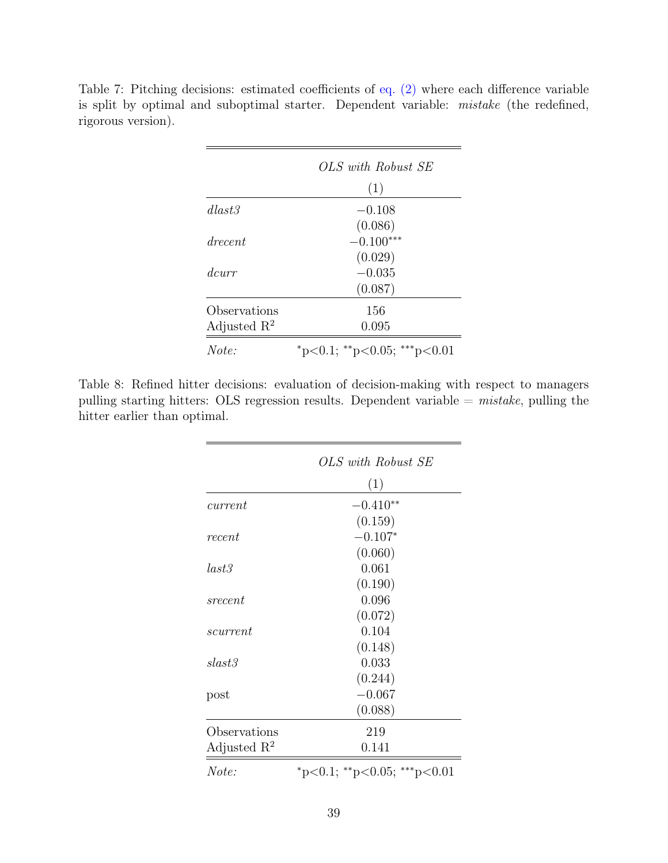|                         | OLS with Robust SE                      |
|-------------------------|-----------------------------------------|
|                         | (1)                                     |
| dlast3                  | $-0.108$                                |
|                         | (0.086)                                 |
| drecent                 | $-0.100***$                             |
|                         | (0.029)                                 |
| dcurr                   | $-0.035$                                |
|                         | (0.087)                                 |
| Observations            | 156                                     |
| Adjusted $\mathbb{R}^2$ | 0.095                                   |
| Note:                   | $*_{p<0.1;}$ $*_{p<0.05;}$ $*_{p<0.01}$ |

<span id="page-44-0"></span>Table 7: Pitching decisions: estimated coefficients of [eq. \(2\)](#page-34-1) where each difference variable is split by optimal and suboptimal starter. Dependent variable: mistake (the redefined, rigorous version).

<span id="page-44-1"></span>Table 8: Refined hitter decisions: evaluation of decision-making with respect to managers pulling starting hitters: OLS regression results. Dependent variable  $=$  mistake, pulling the hitter earlier than optimal.

|                         | OLS with Robust SE                      |
|-------------------------|-----------------------------------------|
|                         | (1)                                     |
| current                 | $-0.410**$                              |
|                         | (0.159)                                 |
| recent                  | $-0.107*$                               |
|                         | (0.060)                                 |
| last3                   | 0.061                                   |
|                         | (0.190)                                 |
| srecent                 | 0.096                                   |
|                         | (0.072)                                 |
| scurrent                | 0.104                                   |
|                         | (0.148)                                 |
| slast3                  | 0.033                                   |
|                         | (0.244)                                 |
| post                    | $-0.067$                                |
|                         | (0.088)                                 |
| Observations            | 219                                     |
| Adjusted $\mathbb{R}^2$ | 0.141                                   |
| Note:                   | $*_{p<0.1;}$ $*_{p<0.05;}$ $*_{p<0.01}$ |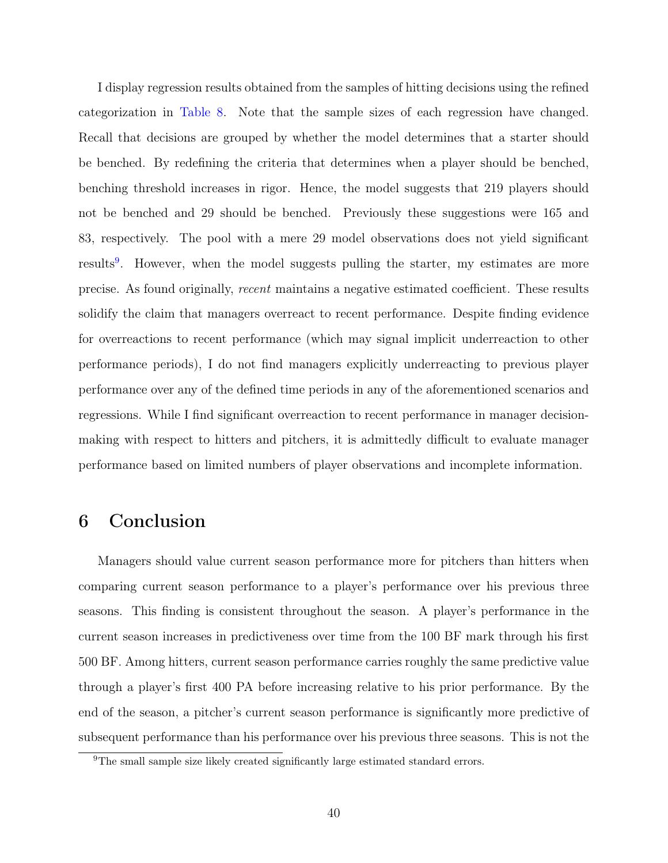I display regression results obtained from the samples of hitting decisions using the refined categorization in [Table 8.](#page-44-1) Note that the sample sizes of each regression have changed. Recall that decisions are grouped by whether the model determines that a starter should be benched. By redefining the criteria that determines when a player should be benched, benching threshold increases in rigor. Hence, the model suggests that 219 players should not be benched and 29 should be benched. Previously these suggestions were 165 and 83, respectively. The pool with a mere 29 model observations does not yield significant results<sup>[9](#page-45-1)</sup>. However, when the model suggests pulling the starter, my estimates are more precise. As found originally, recent maintains a negative estimated coefficient. These results solidify the claim that managers overreact to recent performance. Despite finding evidence for overreactions to recent performance (which may signal implicit underreaction to other performance periods), I do not find managers explicitly underreacting to previous player performance over any of the defined time periods in any of the aforementioned scenarios and regressions. While I find significant overreaction to recent performance in manager decisionmaking with respect to hitters and pitchers, it is admittedly difficult to evaluate manager performance based on limited numbers of player observations and incomplete information.

### <span id="page-45-0"></span>6 Conclusion

Managers should value current season performance more for pitchers than hitters when comparing current season performance to a player's performance over his previous three seasons. This finding is consistent throughout the season. A player's performance in the current season increases in predictiveness over time from the 100 BF mark through his first 500 BF. Among hitters, current season performance carries roughly the same predictive value through a player's first 400 PA before increasing relative to his prior performance. By the end of the season, a pitcher's current season performance is significantly more predictive of subsequent performance than his performance over his previous three seasons. This is not the

<span id="page-45-1"></span><sup>&</sup>lt;sup>9</sup>The small sample size likely created significantly large estimated standard errors.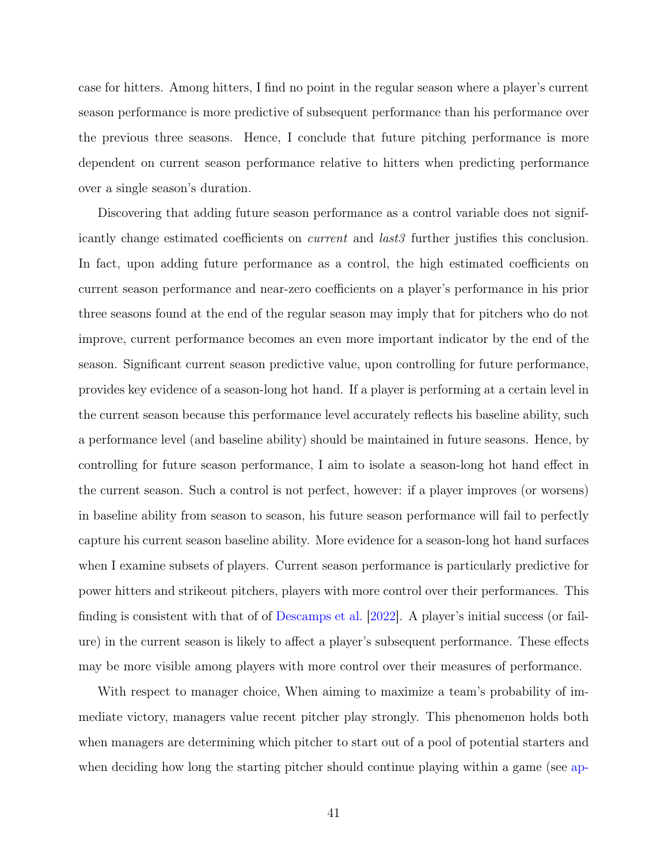case for hitters. Among hitters, I find no point in the regular season where a player's current season performance is more predictive of subsequent performance than his performance over the previous three seasons. Hence, I conclude that future pitching performance is more dependent on current season performance relative to hitters when predicting performance over a single season's duration.

Discovering that adding future season performance as a control variable does not significantly change estimated coefficients on *current* and *last3* further justifies this conclusion. In fact, upon adding future performance as a control, the high estimated coefficients on current season performance and near-zero coefficients on a player's performance in his prior three seasons found at the end of the regular season may imply that for pitchers who do not improve, current performance becomes an even more important indicator by the end of the season. Significant current season predictive value, upon controlling for future performance, provides key evidence of a season-long hot hand. If a player is performing at a certain level in the current season because this performance level accurately reflects his baseline ability, such a performance level (and baseline ability) should be maintained in future seasons. Hence, by controlling for future season performance, I aim to isolate a season-long hot hand effect in the current season. Such a control is not perfect, however: if a player improves (or worsens) in baseline ability from season to season, his future season performance will fail to perfectly capture his current season baseline ability. More evidence for a season-long hot hand surfaces when I examine subsets of players. Current season performance is particularly predictive for power hitters and strikeout pitchers, players with more control over their performances. This finding is consistent with that of of [Descamps et al.](#page-50-3) [\[2022\]](#page-50-3). A player's initial success (or failure) in the current season is likely to affect a player's subsequent performance. These effects may be more visible among players with more control over their measures of performance.

With respect to manager choice, When aiming to maximize a team's probability of immediate victory, managers value recent pitcher play strongly. This phenomenon holds both when managers are determining which pitcher to start out of a pool of potential starters and when deciding how long the starting pitcher should continue playing within a game (see [ap-](#page-53-1)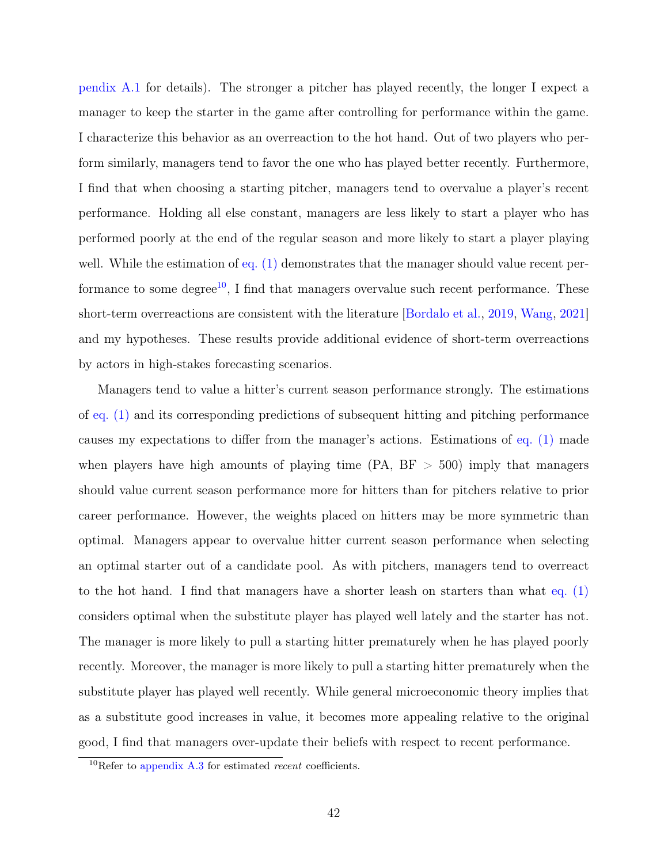[pendix A.1](#page-53-1) for details). The stronger a pitcher has played recently, the longer I expect a manager to keep the starter in the game after controlling for performance within the game. I characterize this behavior as an overreaction to the hot hand. Out of two players who perform similarly, managers tend to favor the one who has played better recently. Furthermore, I find that when choosing a starting pitcher, managers tend to overvalue a player's recent performance. Holding all else constant, managers are less likely to start a player who has performed poorly at the end of the regular season and more likely to start a player playing well. While the estimation of [eq. \(1\)](#page-15-0) demonstrates that the manager should value recent per-formance to some degree<sup>[10](#page-47-0)</sup>, I find that managers overvalue such recent performance. These short-term overreactions are consistent with the literature [\[Bordalo et al.,](#page-50-4) [2019,](#page-50-4) [Wang,](#page-52-0) [2021\]](#page-52-0) and my hypotheses. These results provide additional evidence of short-term overreactions by actors in high-stakes forecasting scenarios.

Managers tend to value a hitter's current season performance strongly. The estimations of [eq. \(1\)](#page-15-0) and its corresponding predictions of subsequent hitting and pitching performance causes my expectations to differ from the manager's actions. Estimations of [eq. \(1\)](#page-15-0) made when players have high amounts of playing time  $(PA, BF > 500)$  imply that managers should value current season performance more for hitters than for pitchers relative to prior career performance. However, the weights placed on hitters may be more symmetric than optimal. Managers appear to overvalue hitter current season performance when selecting an optimal starter out of a candidate pool. As with pitchers, managers tend to overreact to the hot hand. I find that managers have a shorter leash on starters than what [eq. \(1\)](#page-15-0) considers optimal when the substitute player has played well lately and the starter has not. The manager is more likely to pull a starting hitter prematurely when he has played poorly recently. Moreover, the manager is more likely to pull a starting hitter prematurely when the substitute player has played well recently. While general microeconomic theory implies that as a substitute good increases in value, it becomes more appealing relative to the original good, I find that managers over-update their beliefs with respect to recent performance.

<span id="page-47-0"></span> $10$ Refer to [appendix A.3](#page-56-0) for estimated *recent* coefficients.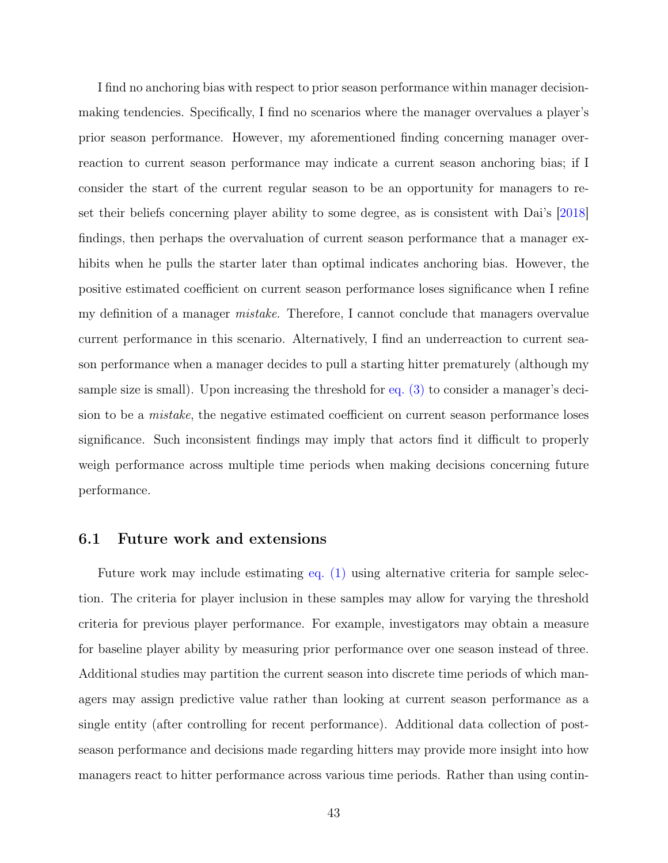I find no anchoring bias with respect to prior season performance within manager decisionmaking tendencies. Specifically, I find no scenarios where the manager overvalues a player's prior season performance. However, my aforementioned finding concerning manager overreaction to current season performance may indicate a current season anchoring bias; if I consider the start of the current regular season to be an opportunity for managers to reset their beliefs concerning player ability to some degree, as is consistent with Dai's [\[2018\]](#page-50-8) findings, then perhaps the overvaluation of current season performance that a manager exhibits when he pulls the starter later than optimal indicates anchoring bias. However, the positive estimated coefficient on current season performance loses significance when I refine my definition of a manager *mistake*. Therefore, I cannot conclude that managers overvalue current performance in this scenario. Alternatively, I find an underreaction to current season performance when a manager decides to pull a starting hitter prematurely (although my sample size is small). Upon increasing the threshold for [eq. \(3\)](#page-38-0) to consider a manager's decision to be a mistake, the negative estimated coefficient on current season performance loses significance. Such inconsistent findings may imply that actors find it difficult to properly weigh performance across multiple time periods when making decisions concerning future performance.

#### <span id="page-48-0"></span>6.1 Future work and extensions

Future work may include estimating [eq. \(1\)](#page-15-0) using alternative criteria for sample selection. The criteria for player inclusion in these samples may allow for varying the threshold criteria for previous player performance. For example, investigators may obtain a measure for baseline player ability by measuring prior performance over one season instead of three. Additional studies may partition the current season into discrete time periods of which managers may assign predictive value rather than looking at current season performance as a single entity (after controlling for recent performance). Additional data collection of postseason performance and decisions made regarding hitters may provide more insight into how managers react to hitter performance across various time periods. Rather than using contin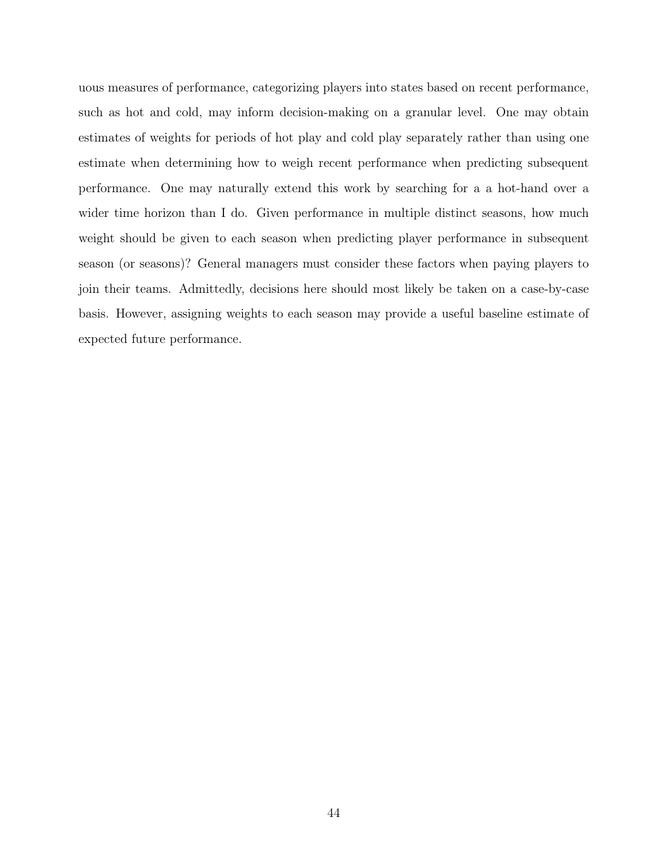uous measures of performance, categorizing players into states based on recent performance, such as hot and cold, may inform decision-making on a granular level. One may obtain estimates of weights for periods of hot play and cold play separately rather than using one estimate when determining how to weigh recent performance when predicting subsequent performance. One may naturally extend this work by searching for a a hot-hand over a wider time horizon than I do. Given performance in multiple distinct seasons, how much weight should be given to each season when predicting player performance in subsequent season (or seasons)? General managers must consider these factors when paying players to join their teams. Admittedly, decisions here should most likely be taken on a case-by-case basis. However, assigning weights to each season may provide a useful baseline estimate of expected future performance.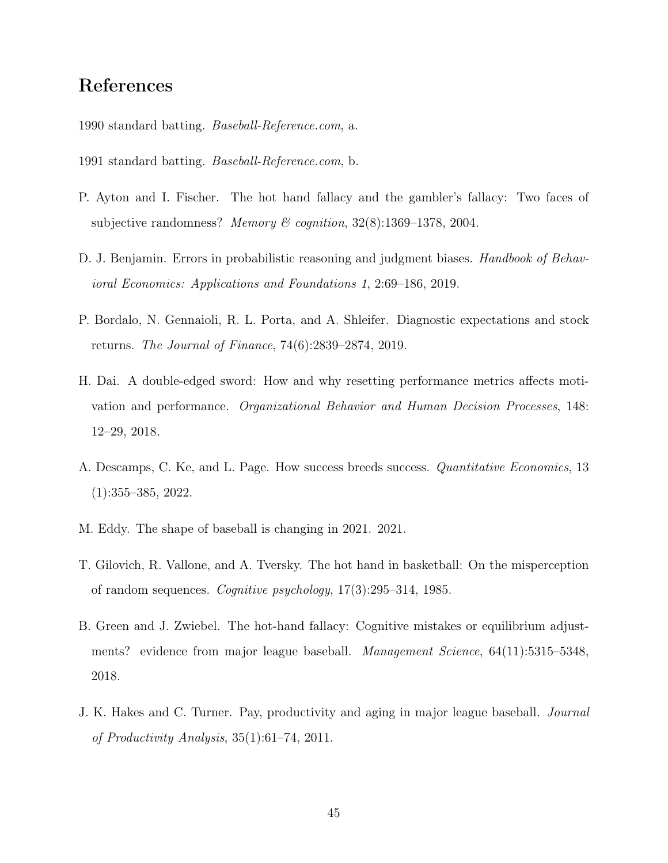## References

<span id="page-50-1"></span>1990 standard batting. Baseball-Reference.com, a.

<span id="page-50-2"></span>1991 standard batting. Baseball-Reference.com, b.

- <span id="page-50-7"></span>P. Ayton and I. Fischer. The hot hand fallacy and the gambler's fallacy: Two faces of subjective randomness? Memory & cognition, 32(8):1369-1378, 2004.
- <span id="page-50-6"></span>D. J. Benjamin. Errors in probabilistic reasoning and judgment biases. *Handbook of Behav*ioral Economics: Applications and Foundations 1, 2:69–186, 2019.
- <span id="page-50-4"></span>P. Bordalo, N. Gennaioli, R. L. Porta, and A. Shleifer. Diagnostic expectations and stock returns. The Journal of Finance, 74(6):2839–2874, 2019.
- <span id="page-50-8"></span>H. Dai. A double-edged sword: How and why resetting performance metrics affects motivation and performance. Organizational Behavior and Human Decision Processes, 148: 12–29, 2018.
- <span id="page-50-3"></span>A. Descamps, C. Ke, and L. Page. How success breeds success. *Quantitative Economics*, 13 (1):355–385, 2022.
- <span id="page-50-10"></span>M. Eddy. The shape of baseball is changing in 2021. 2021.
- <span id="page-50-5"></span>T. Gilovich, R. Vallone, and A. Tversky. The hot hand in basketball: On the misperception of random sequences. Cognitive psychology, 17(3):295–314, 1985.
- <span id="page-50-0"></span>B. Green and J. Zwiebel. The hot-hand fallacy: Cognitive mistakes or equilibrium adjustments? evidence from major league baseball. *Management Science*, 64(11):5315–5348, 2018.
- <span id="page-50-9"></span>J. K. Hakes and C. Turner. Pay, productivity and aging in major league baseball. Journal of Productivity Analysis, 35(1):61–74, 2011.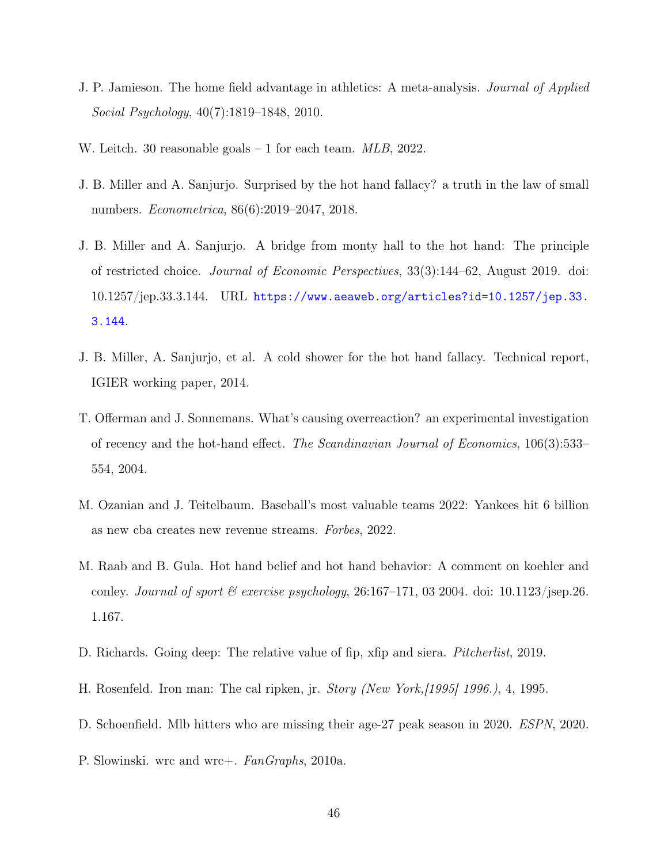- <span id="page-51-10"></span>J. P. Jamieson. The home field advantage in athletics: A meta-analysis. Journal of Applied Social Psychology, 40(7):1819–1848, 2010.
- <span id="page-51-0"></span>W. Leitch. 30 reasonable goals – 1 for each team. MLB, 2022.
- <span id="page-51-4"></span>J. B. Miller and A. Sanjurjo. Surprised by the hot hand fallacy? a truth in the law of small numbers. Econometrica, 86(6):2019–2047, 2018.
- <span id="page-51-7"></span>J. B. Miller and A. Sanjurjo. A bridge from monty hall to the hot hand: The principle of restricted choice. Journal of Economic Perspectives, 33(3):144–62, August 2019. doi: 10.1257/jep.33.3.144. URL [https://www.aeaweb.org/articles?id=10.1257/jep.33.](https://www.aeaweb.org/articles?id=10.1257/jep.33.3.144) [3.144](https://www.aeaweb.org/articles?id=10.1257/jep.33.3.144).
- <span id="page-51-5"></span>J. B. Miller, A. Sanjurjo, et al. A cold shower for the hot hand fallacy. Technical report, IGIER working paper, 2014.
- <span id="page-51-6"></span>T. Offerman and J. Sonnemans. What's causing overreaction? an experimental investigation of recency and the hot-hand effect. The Scandinavian Journal of Economics, 106(3):533– 554, 2004.
- <span id="page-51-3"></span>M. Ozanian and J. Teitelbaum. Baseball's most valuable teams 2022: Yankees hit 6 billion as new cba creates new revenue streams. Forbes, 2022.
- <span id="page-51-1"></span>M. Raab and B. Gula. Hot hand belief and hot hand behavior: A comment on koehler and conley. Journal of sport  $\mathcal C$  exercise psychology, 26:167-171, 03 2004. doi: 10.1123/jsep.26. 1.167.
- <span id="page-51-8"></span>D. Richards. Going deep: The relative value of fip, xfip and siera. *Pitcherlist*, 2019.
- <span id="page-51-2"></span>H. Rosenfeld. Iron man: The cal ripken, jr. Story (New York,[1995] 1996.), 4, 1995.
- <span id="page-51-11"></span>D. Schoenfield. Mlb hitters who are missing their age-27 peak season in 2020. ESPN, 2020.
- <span id="page-51-9"></span>P. Slowinski. wrc and wrc+. FanGraphs, 2010a.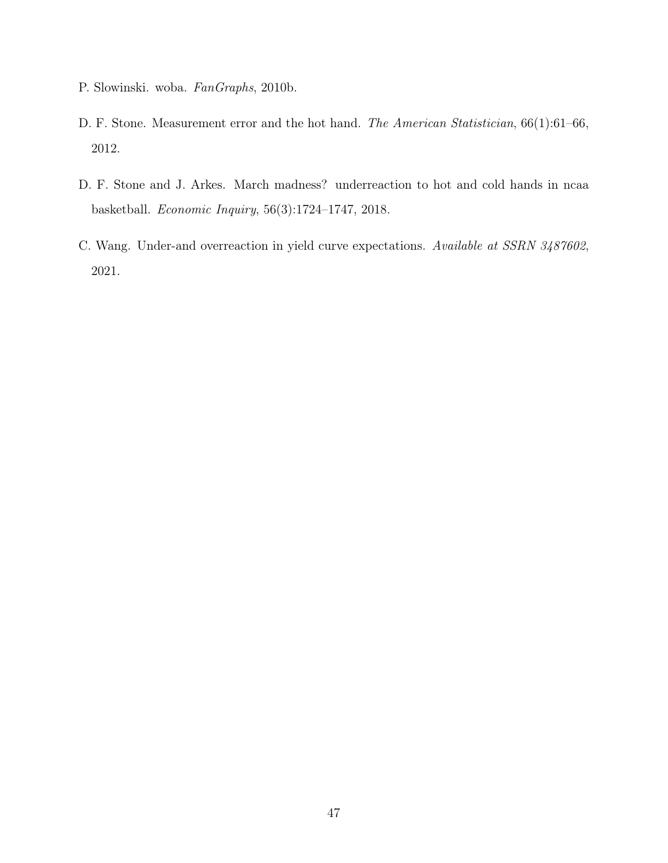- <span id="page-52-3"></span>P. Slowinski. woba. FanGraphs, 2010b.
- <span id="page-52-1"></span>D. F. Stone. Measurement error and the hot hand. The American Statistician,  $66(1):61-66$ , 2012.
- <span id="page-52-2"></span>D. F. Stone and J. Arkes. March madness? underreaction to hot and cold hands in ncaa basketball. Economic Inquiry, 56(3):1724–1747, 2018.
- <span id="page-52-0"></span>C. Wang. Under-and overreaction in yield curve expectations. Available at SSRN 3487602, 2021.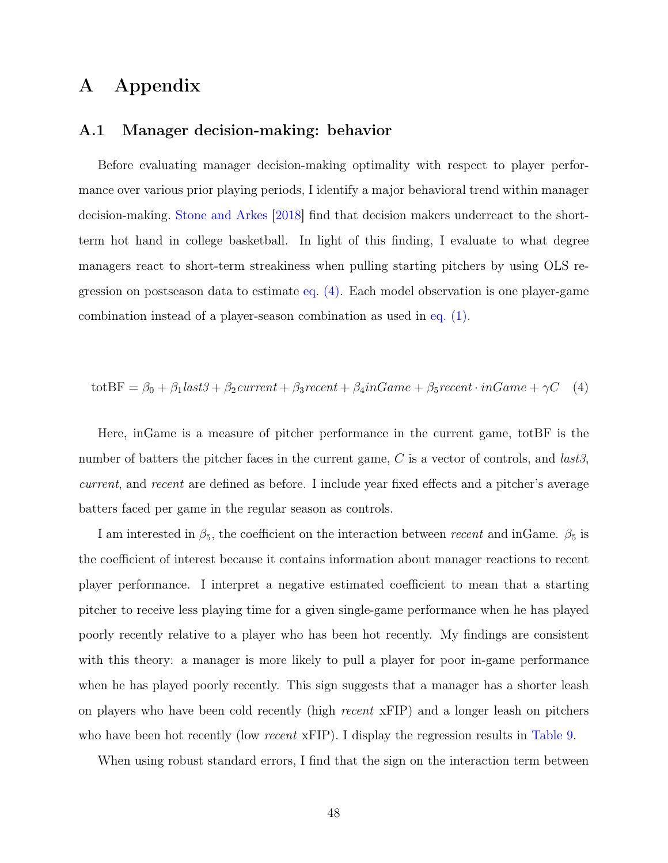## <span id="page-53-0"></span>A Appendix

#### <span id="page-53-1"></span>A.1 Manager decision-making: behavior

Before evaluating manager decision-making optimality with respect to player performance over various prior playing periods, I identify a major behavioral trend within manager decision-making. [Stone and Arkes](#page-52-2) [\[2018\]](#page-52-2) find that decision makers underreact to the shortterm hot hand in college basketball. In light of this finding, I evaluate to what degree managers react to short-term streakiness when pulling starting pitchers by using OLS regression on postseason data to estimate [eq. \(4\).](#page-53-2) Each model observation is one player-game combination instead of a player-season combination as used in [eq. \(1\).](#page-15-0)

<span id="page-53-2"></span>totBF = 
$$
\beta_0 + \beta_1 last3 + \beta_2 current + \beta_3 recent + \beta_4 in Game + \beta_5 recent \cdot inGame + \gamma C
$$
 (4)

Here, inGame is a measure of pitcher performance in the current game, totBF is the number of batters the pitcher faces in the current game,  $C$  is a vector of controls, and *last3*, current, and recent are defined as before. I include year fixed effects and a pitcher's average batters faced per game in the regular season as controls.

I am interested in  $\beta_5$ , the coefficient on the interaction between recent and inGame.  $\beta_5$  is the coefficient of interest because it contains information about manager reactions to recent player performance. I interpret a negative estimated coefficient to mean that a starting pitcher to receive less playing time for a given single-game performance when he has played poorly recently relative to a player who has been hot recently. My findings are consistent with this theory: a manager is more likely to pull a player for poor in-game performance when he has played poorly recently. This sign suggests that a manager has a shorter leash on players who have been cold recently (high *recent*  $xFIP$ ) and a longer leash on pitchers who have been hot recently (low *recent* xFIP). I display the regression results in [Table 9.](#page-54-0)

When using robust standard errors, I find that the sign on the interaction term between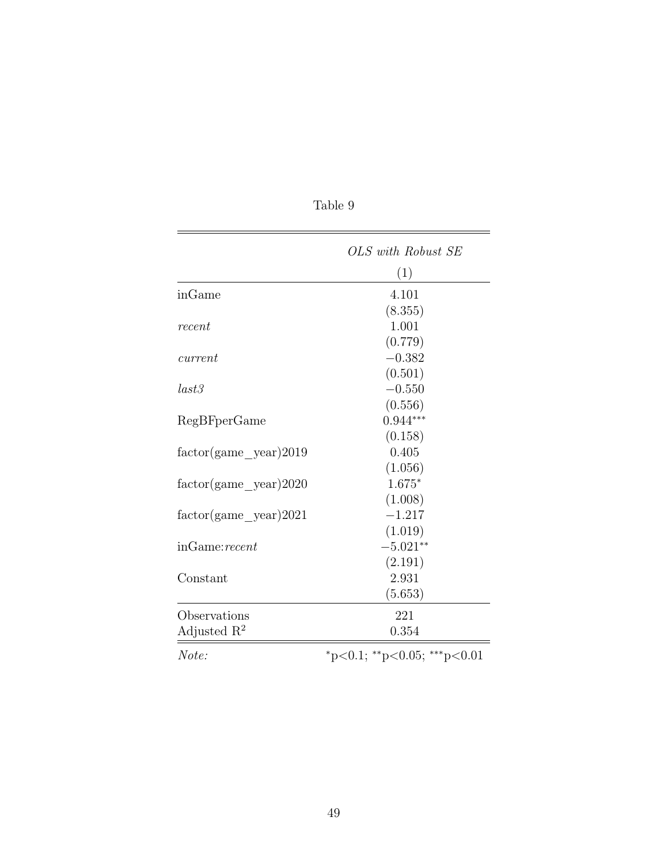|                           | OLS with Robust SE          |
|---------------------------|-----------------------------|
|                           | (1)                         |
| inGame                    | 4.101                       |
|                           | (8.355)                     |
| recent                    | 1.001                       |
|                           | (0.779)                     |
| current                   | $-0.382$                    |
|                           | (0.501)                     |
| last3                     | $-0.550$                    |
|                           | (0.556)                     |
| RegBFperGame              | $0.944***$                  |
|                           | (0.158)                     |
| $factor(game\_year)2019$  | 0.405                       |
|                           | (1.056)                     |
| $factor(game \ year)2020$ | $1.675*$                    |
|                           | (1.008)                     |
| $factor(game \ year)2021$ | $-1.217$                    |
|                           | (1.019)                     |
| inGame:recent             | $-5.021**$                  |
|                           | (2.191)                     |
| Constant                  | 2.931                       |
|                           | (5.653)                     |
| Observations              | 221                         |
| Adjusted $R^2$            | 0.354                       |
| Note:                     | *p<0.1; **p<0.05; ***p<0.01 |

Table 9

<span id="page-54-0"></span> $\overline{\phantom{a}}$ 

L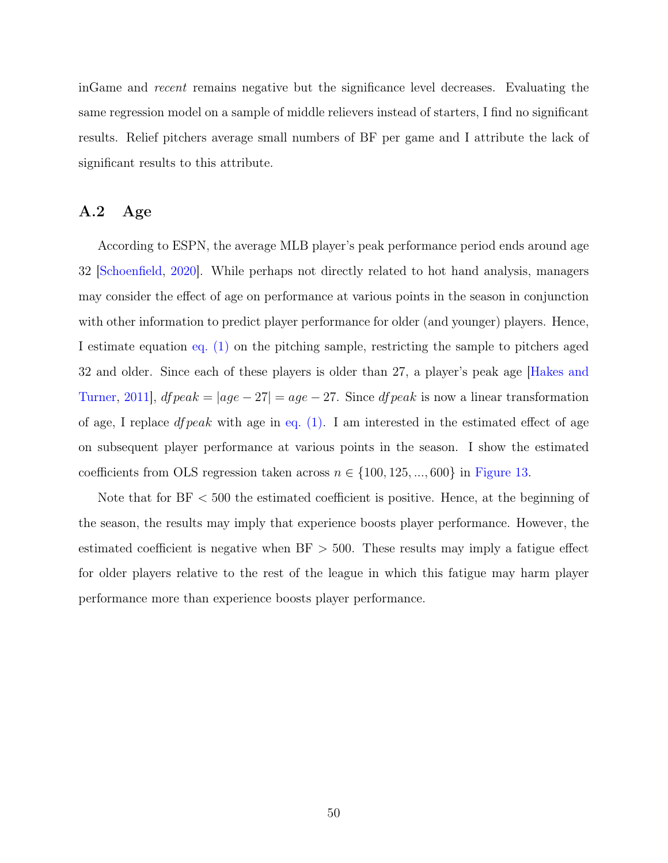inGame and recent remains negative but the significance level decreases. Evaluating the same regression model on a sample of middle relievers instead of starters, I find no significant results. Relief pitchers average small numbers of BF per game and I attribute the lack of significant results to this attribute.

### <span id="page-55-0"></span>A.2 Age

According to ESPN, the average MLB player's peak performance period ends around age 32 [\[Schoenfield,](#page-51-11) [2020\]](#page-51-11). While perhaps not directly related to hot hand analysis, managers may consider the effect of age on performance at various points in the season in conjunction with other information to predict player performance for older (and younger) players. Hence, I estimate equation [eq. \(1\)](#page-15-0) on the pitching sample, restricting the sample to pitchers aged 32 and older. Since each of these players is older than 27, a player's peak age [\[Hakes and](#page-50-9) [Turner,](#page-50-9) [2011\]](#page-50-9),  $d\mathit{fpeak} = |age - 27| = age - 27$ . Since  $d\mathit{fpeak}$  is now a linear transformation of age, I replace *df peak* with age in eq.  $(1)$ . I am interested in the estimated effect of age on subsequent player performance at various points in the season. I show the estimated coefficients from OLS regression taken across  $n \in \{100, 125, ..., 600\}$  in [Figure 13.](#page-56-1)

Note that for BF < 500 the estimated coefficient is positive. Hence, at the beginning of the season, the results may imply that experience boosts player performance. However, the estimated coefficient is negative when  $BF > 500$ . These results may imply a fatigue effect for older players relative to the rest of the league in which this fatigue may harm player performance more than experience boosts player performance.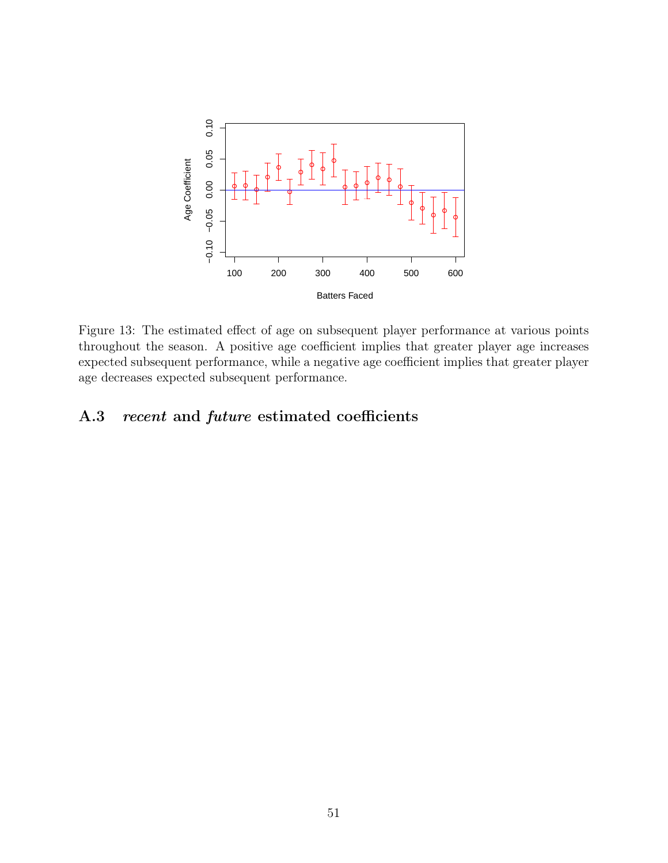<span id="page-56-1"></span>

Figure 13: The estimated effect of age on subsequent player performance at various points throughout the season. A positive age coefficient implies that greater player age increases expected subsequent performance, while a negative age coefficient implies that greater player age decreases expected subsequent performance.

### <span id="page-56-0"></span>A.3 recent and future estimated coefficients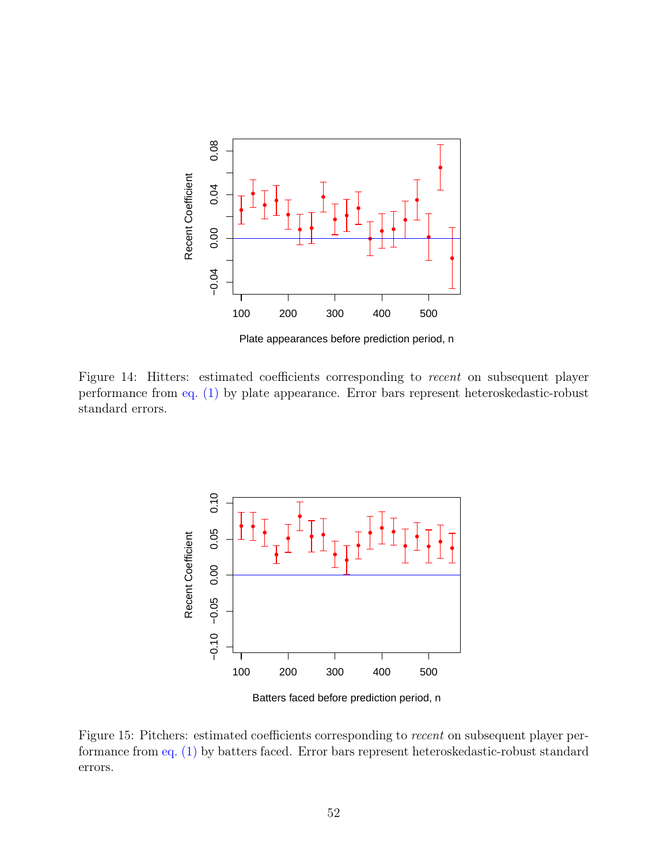

Figure 14: Hitters: estimated coefficients corresponding to *recent* on subsequent player performance from [eq. \(1\)](#page-15-0) by plate appearance. Error bars represent heteroskedastic-robust standard errors.



Batters faced before prediction period, n

Figure 15: Pitchers: estimated coefficients corresponding to recent on subsequent player performance from [eq. \(1\)](#page-15-0) by batters faced. Error bars represent heteroskedastic-robust standard errors.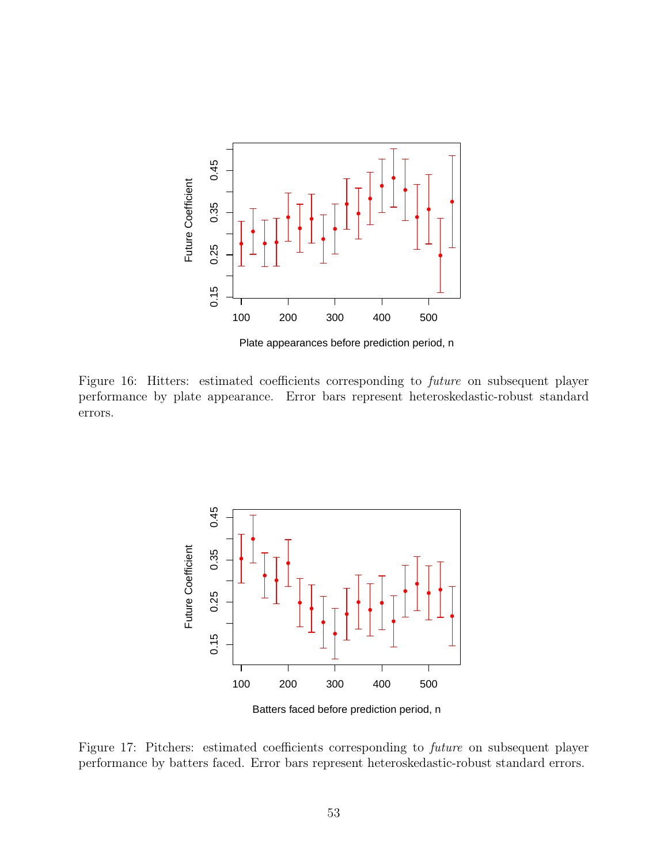

Figure 16: Hitters: estimated coefficients corresponding to *future* on subsequent player performance by plate appearance. Error bars represent heteroskedastic-robust standard errors.



Batters faced before prediction period, n

Figure 17: Pitchers: estimated coefficients corresponding to future on subsequent player performance by batters faced. Error bars represent heteroskedastic-robust standard errors.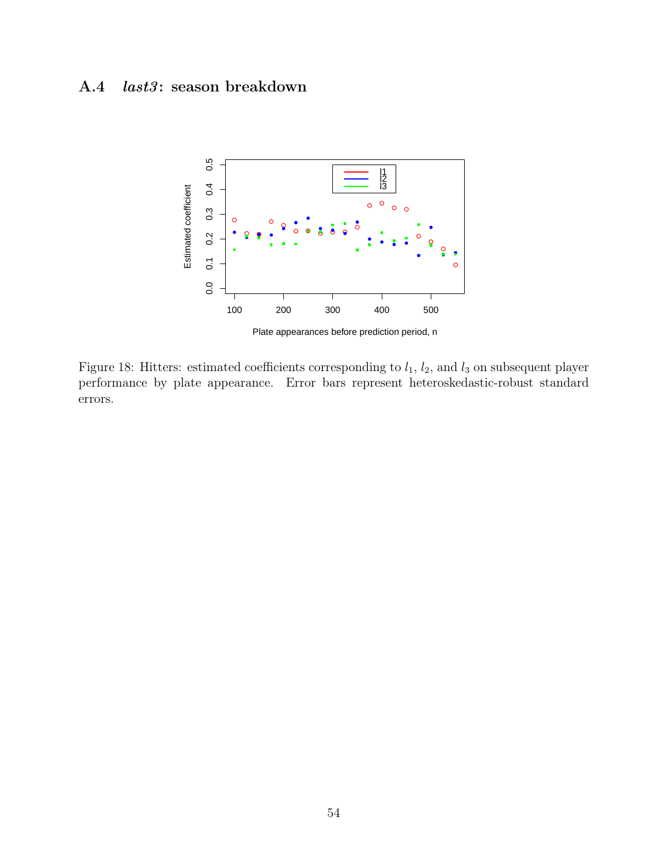## <span id="page-59-0"></span>A.4 *last3*: season breakdown



Figure 18: Hitters: estimated coefficients corresponding to  $l_1$ ,  $l_2$ , and  $l_3$  on subsequent player performance by plate appearance. Error bars represent heteroskedastic-robust standard errors.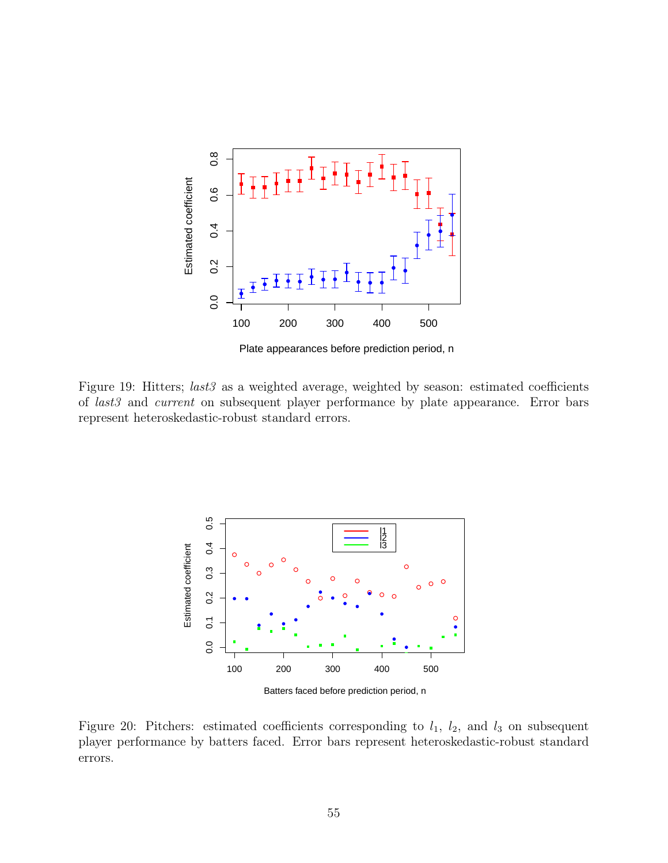

Figure 19: Hitters; *last3* as a weighted average, weighted by season: estimated coefficients of last3 and current on subsequent player performance by plate appearance. Error bars represent heteroskedastic-robust standard errors.



Figure 20: Pitchers: estimated coefficients corresponding to  $l_1$ ,  $l_2$ , and  $l_3$  on subsequent player performance by batters faced. Error bars represent heteroskedastic-robust standard errors.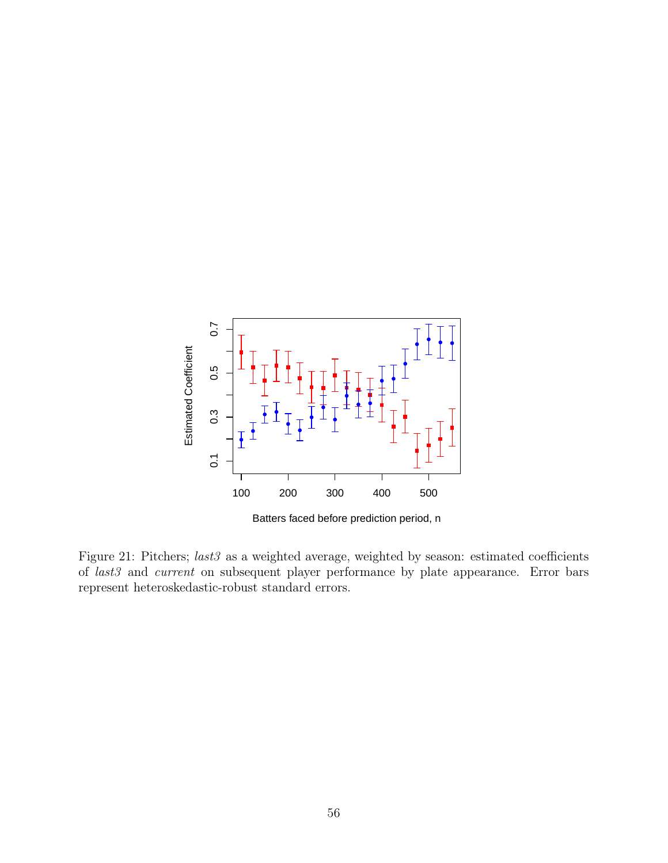

Figure 21: Pitchers; last3 as a weighted average, weighted by season: estimated coefficients of last3 and current on subsequent player performance by plate appearance. Error bars represent heteroskedastic-robust standard errors.